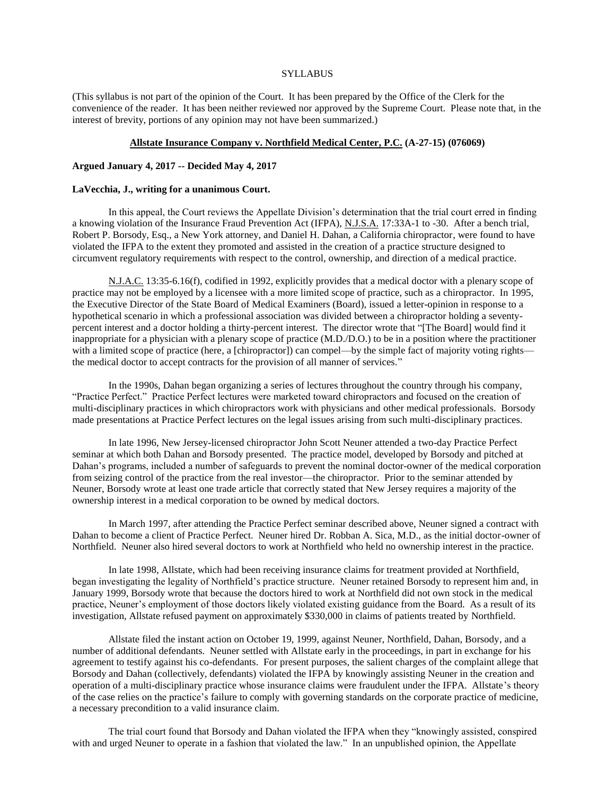### **SYLLABUS**

(This syllabus is not part of the opinion of the Court. It has been prepared by the Office of the Clerk for the convenience of the reader. It has been neither reviewed nor approved by the Supreme Court. Please note that, in the interest of brevity, portions of any opinion may not have been summarized.)

### **Allstate Insurance Company v. Northfield Medical Center, P.C. (A-27-15) (076069)**

### **Argued January 4, 2017 -- Decided May 4, 2017**

## **LaVecchia, J., writing for a unanimous Court.**

In this appeal, the Court reviews the Appellate Division's determination that the trial court erred in finding a knowing violation of the Insurance Fraud Prevention Act (IFPA), N.J.S.A. 17:33A-1 to -30. After a bench trial, Robert P. Borsody, Esq., a New York attorney, and Daniel H. Dahan, a California chiropractor, were found to have violated the IFPA to the extent they promoted and assisted in the creation of a practice structure designed to circumvent regulatory requirements with respect to the control, ownership, and direction of a medical practice.

N.J.A.C. 13:35-6.16(f), codified in 1992, explicitly provides that a medical doctor with a plenary scope of practice may not be employed by a licensee with a more limited scope of practice, such as a chiropractor. In 1995, the Executive Director of the State Board of Medical Examiners (Board), issued a letter-opinion in response to a hypothetical scenario in which a professional association was divided between a chiropractor holding a seventypercent interest and a doctor holding a thirty-percent interest. The director wrote that "[The Board] would find it inappropriate for a physician with a plenary scope of practice (M.D./D.O.) to be in a position where the practitioner with a limited scope of practice (here, a [chiropractor]) can compel—by the simple fact of majority voting rights the medical doctor to accept contracts for the provision of all manner of services."

In the 1990s, Dahan began organizing a series of lectures throughout the country through his company, "Practice Perfect." Practice Perfect lectures were marketed toward chiropractors and focused on the creation of multi-disciplinary practices in which chiropractors work with physicians and other medical professionals. Borsody made presentations at Practice Perfect lectures on the legal issues arising from such multi-disciplinary practices.

In late 1996, New Jersey-licensed chiropractor John Scott Neuner attended a two-day Practice Perfect seminar at which both Dahan and Borsody presented. The practice model, developed by Borsody and pitched at Dahan's programs, included a number of safeguards to prevent the nominal doctor-owner of the medical corporation from seizing control of the practice from the real investor—the chiropractor. Prior to the seminar attended by Neuner, Borsody wrote at least one trade article that correctly stated that New Jersey requires a majority of the ownership interest in a medical corporation to be owned by medical doctors.

In March 1997, after attending the Practice Perfect seminar described above, Neuner signed a contract with Dahan to become a client of Practice Perfect. Neuner hired Dr. Robban A. Sica, M.D., as the initial doctor-owner of Northfield. Neuner also hired several doctors to work at Northfield who held no ownership interest in the practice.

In late 1998, Allstate, which had been receiving insurance claims for treatment provided at Northfield, began investigating the legality of Northfield's practice structure. Neuner retained Borsody to represent him and, in January 1999, Borsody wrote that because the doctors hired to work at Northfield did not own stock in the medical practice, Neuner's employment of those doctors likely violated existing guidance from the Board. As a result of its investigation, Allstate refused payment on approximately \$330,000 in claims of patients treated by Northfield.

Allstate filed the instant action on October 19, 1999, against Neuner, Northfield, Dahan, Borsody, and a number of additional defendants. Neuner settled with Allstate early in the proceedings, in part in exchange for his agreement to testify against his co-defendants. For present purposes, the salient charges of the complaint allege that Borsody and Dahan (collectively, defendants) violated the IFPA by knowingly assisting Neuner in the creation and operation of a multi-disciplinary practice whose insurance claims were fraudulent under the IFPA. Allstate's theory of the case relies on the practice's failure to comply with governing standards on the corporate practice of medicine, a necessary precondition to a valid insurance claim.

The trial court found that Borsody and Dahan violated the IFPA when they "knowingly assisted, conspired with and urged Neuner to operate in a fashion that violated the law." In an unpublished opinion, the Appellate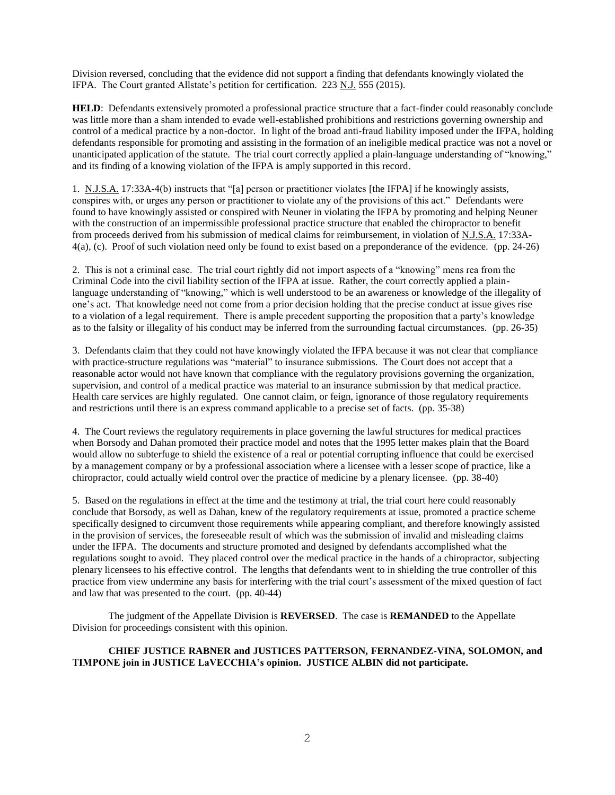Division reversed, concluding that the evidence did not support a finding that defendants knowingly violated the IFPA. The Court granted Allstate's petition for certification. 223 N.J. 555 (2015).

**HELD:** Defendants extensively promoted a professional practice structure that a fact-finder could reasonably conclude was little more than a sham intended to evade well-established prohibitions and restrictions governing ownership and control of a medical practice by a non-doctor. In light of the broad anti-fraud liability imposed under the IFPA, holding defendants responsible for promoting and assisting in the formation of an ineligible medical practice was not a novel or unanticipated application of the statute. The trial court correctly applied a plain-language understanding of "knowing," and its finding of a knowing violation of the IFPA is amply supported in this record.

1. N.J.S.A. 17:33A-4(b) instructs that "[a] person or practitioner violates [the IFPA] if he knowingly assists, conspires with, or urges any person or practitioner to violate any of the provisions of this act." Defendants were found to have knowingly assisted or conspired with Neuner in violating the IFPA by promoting and helping Neuner with the construction of an impermissible professional practice structure that enabled the chiropractor to benefit from proceeds derived from his submission of medical claims for reimbursement, in violation of N.J.S.A. 17:33A-4(a), (c). Proof of such violation need only be found to exist based on a preponderance of the evidence. (pp. 24-26)

2. This is not a criminal case. The trial court rightly did not import aspects of a "knowing" mens rea from the Criminal Code into the civil liability section of the IFPA at issue. Rather, the court correctly applied a plainlanguage understanding of "knowing," which is well understood to be an awareness or knowledge of the illegality of one's act. That knowledge need not come from a prior decision holding that the precise conduct at issue gives rise to a violation of a legal requirement. There is ample precedent supporting the proposition that a party's knowledge as to the falsity or illegality of his conduct may be inferred from the surrounding factual circumstances. (pp. 26-35)

3. Defendants claim that they could not have knowingly violated the IFPA because it was not clear that compliance with practice-structure regulations was "material" to insurance submissions. The Court does not accept that a reasonable actor would not have known that compliance with the regulatory provisions governing the organization, supervision, and control of a medical practice was material to an insurance submission by that medical practice. Health care services are highly regulated. One cannot claim, or feign, ignorance of those regulatory requirements and restrictions until there is an express command applicable to a precise set of facts. (pp. 35-38)

4. The Court reviews the regulatory requirements in place governing the lawful structures for medical practices when Borsody and Dahan promoted their practice model and notes that the 1995 letter makes plain that the Board would allow no subterfuge to shield the existence of a real or potential corrupting influence that could be exercised by a management company or by a professional association where a licensee with a lesser scope of practice, like a chiropractor, could actually wield control over the practice of medicine by a plenary licensee. (pp. 38-40)

5. Based on the regulations in effect at the time and the testimony at trial, the trial court here could reasonably conclude that Borsody, as well as Dahan, knew of the regulatory requirements at issue, promoted a practice scheme specifically designed to circumvent those requirements while appearing compliant, and therefore knowingly assisted in the provision of services, the foreseeable result of which was the submission of invalid and misleading claims under the IFPA. The documents and structure promoted and designed by defendants accomplished what the regulations sought to avoid. They placed control over the medical practice in the hands of a chiropractor, subjecting plenary licensees to his effective control. The lengths that defendants went to in shielding the true controller of this practice from view undermine any basis for interfering with the trial court's assessment of the mixed question of fact and law that was presented to the court. (pp. 40-44)

The judgment of the Appellate Division is **REVERSED**. The case is **REMANDED** to the Appellate Division for proceedings consistent with this opinion.

# **CHIEF JUSTICE RABNER and JUSTICES PATTERSON, FERNANDEZ-VINA, SOLOMON, and TIMPONE join in JUSTICE LaVECCHIA's opinion. JUSTICE ALBIN did not participate.**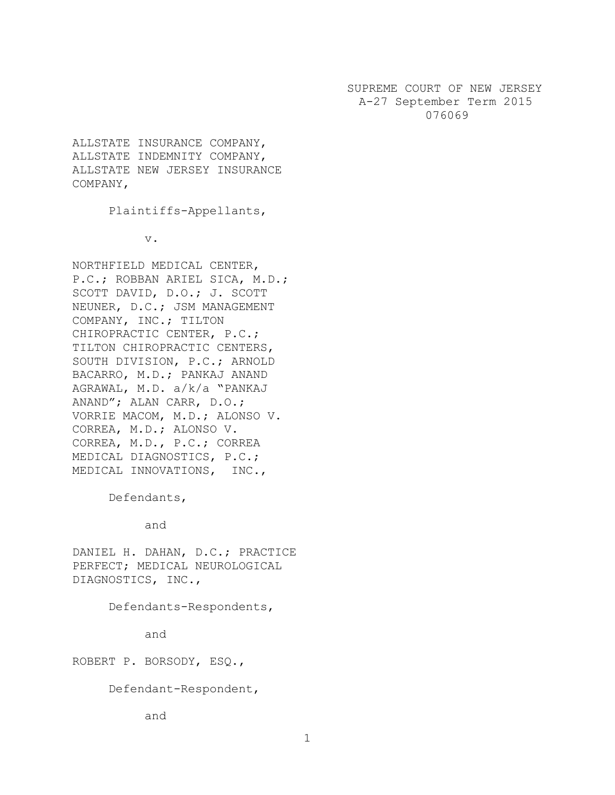SUPREME COURT OF NEW JERSEY A-27 September Term 2015 076069

ALLSTATE INSURANCE COMPANY, ALLSTATE INDEMNITY COMPANY, ALLSTATE NEW JERSEY INSURANCE COMPANY,

Plaintiffs-Appellants,

v.

NORTHFIELD MEDICAL CENTER, P.C.; ROBBAN ARIEL SICA, M.D.; SCOTT DAVID, D.O.; J. SCOTT NEUNER, D.C.; JSM MANAGEMENT COMPANY, INC.; TILTON CHIROPRACTIC CENTER, P.C.; TILTON CHIROPRACTIC CENTERS, SOUTH DIVISION, P.C.; ARNOLD BACARRO, M.D.; PANKAJ ANAND AGRAWAL, M.D. a/k/a "PANKAJ ANAND"; ALAN CARR, D.O.; VORRIE MACOM, M.D.; ALONSO V. CORREA, M.D.; ALONSO V. CORREA, M.D., P.C.; CORREA MEDICAL DIAGNOSTICS, P.C.; MEDICAL INNOVATIONS, INC.,

Defendants,

and

DANIEL H. DAHAN, D.C.; PRACTICE PERFECT; MEDICAL NEUROLOGICAL DIAGNOSTICS, INC.,

Defendants-Respondents,

and

ROBERT P. BORSODY, ESQ.,

Defendant-Respondent,

and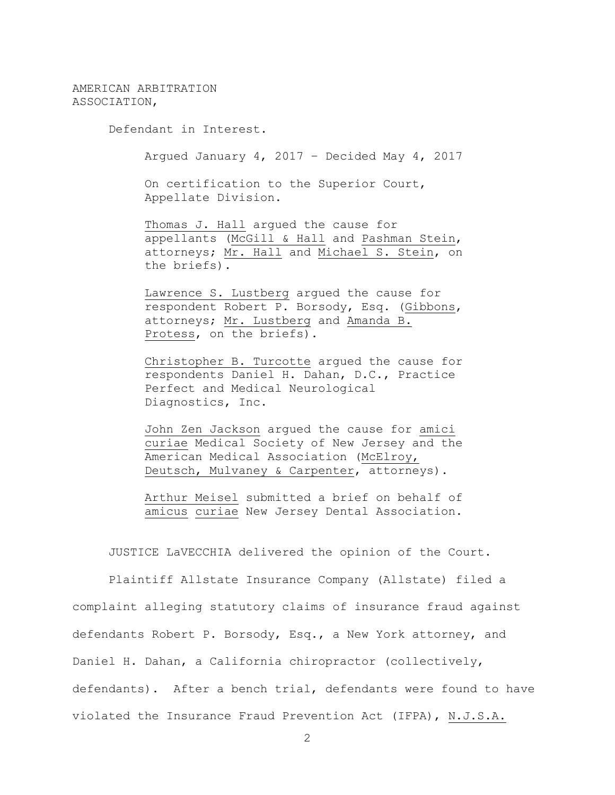AMERICAN ARBITRATION ASSOCIATION,

Defendant in Interest.

Argued January 4, 2017 – Decided May 4, 2017

On certification to the Superior Court, Appellate Division.

Thomas J. Hall argued the cause for appellants (McGill & Hall and Pashman Stein, attorneys; Mr. Hall and Michael S. Stein, on the briefs).

Lawrence S. Lustberg argued the cause for respondent Robert P. Borsody, Esq. (Gibbons, attorneys; Mr. Lustberg and Amanda B. Protess, on the briefs).

Christopher B. Turcotte argued the cause for respondents Daniel H. Dahan, D.C., Practice Perfect and Medical Neurological Diagnostics, Inc.

John Zen Jackson argued the cause for amici curiae Medical Society of New Jersey and the American Medical Association (McElroy, Deutsch, Mulvaney & Carpenter, attorneys).

Arthur Meisel submitted a brief on behalf of amicus curiae New Jersey Dental Association.

JUSTICE LaVECCHIA delivered the opinion of the Court.

Plaintiff Allstate Insurance Company (Allstate) filed a complaint alleging statutory claims of insurance fraud against defendants Robert P. Borsody, Esq., a New York attorney, and Daniel H. Dahan, a California chiropractor (collectively, defendants). After a bench trial, defendants were found to have violated the Insurance Fraud Prevention Act (IFPA), N.J.S.A.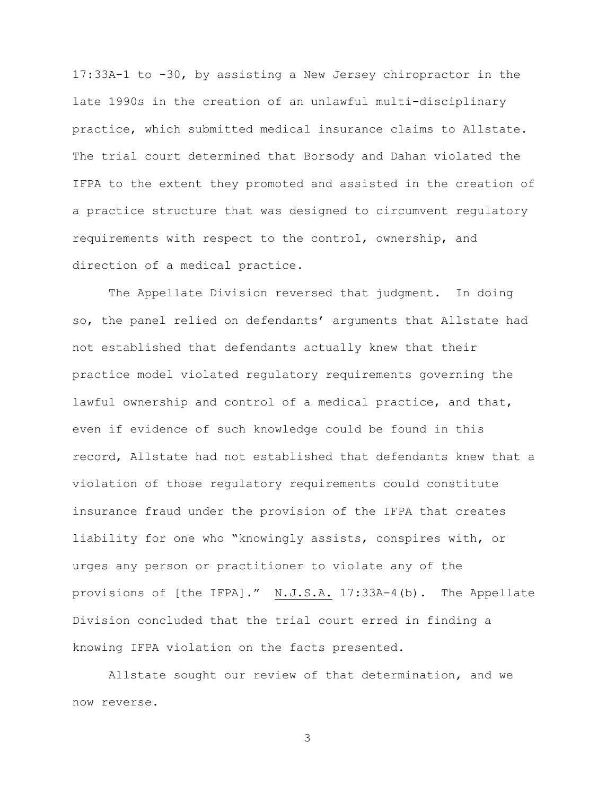17:33A-1 to -30, by assisting a New Jersey chiropractor in the late 1990s in the creation of an unlawful multi-disciplinary practice, which submitted medical insurance claims to Allstate. The trial court determined that Borsody and Dahan violated the IFPA to the extent they promoted and assisted in the creation of a practice structure that was designed to circumvent regulatory requirements with respect to the control, ownership, and direction of a medical practice.

The Appellate Division reversed that judgment. In doing so, the panel relied on defendants' arguments that Allstate had not established that defendants actually knew that their practice model violated regulatory requirements governing the lawful ownership and control of a medical practice, and that, even if evidence of such knowledge could be found in this record, Allstate had not established that defendants knew that a violation of those regulatory requirements could constitute insurance fraud under the provision of the IFPA that creates liability for one who "knowingly assists, conspires with, or urges any person or practitioner to violate any of the provisions of [the IFPA]." N.J.S.A. 17:33A-4(b). The Appellate Division concluded that the trial court erred in finding a knowing IFPA violation on the facts presented.

Allstate sought our review of that determination, and we now reverse.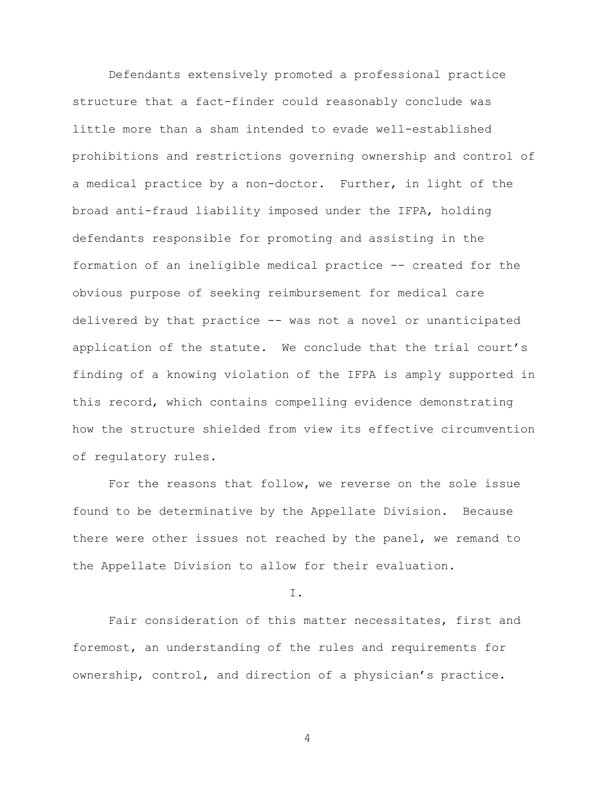Defendants extensively promoted a professional practice structure that a fact-finder could reasonably conclude was little more than a sham intended to evade well-established prohibitions and restrictions governing ownership and control of a medical practice by a non-doctor. Further, in light of the broad anti-fraud liability imposed under the IFPA, holding defendants responsible for promoting and assisting in the formation of an ineligible medical practice -- created for the obvious purpose of seeking reimbursement for medical care delivered by that practice -- was not a novel or unanticipated application of the statute. We conclude that the trial court's finding of a knowing violation of the IFPA is amply supported in this record, which contains compelling evidence demonstrating how the structure shielded from view its effective circumvention of regulatory rules.

For the reasons that follow, we reverse on the sole issue found to be determinative by the Appellate Division. Because there were other issues not reached by the panel, we remand to the Appellate Division to allow for their evaluation.

I.

Fair consideration of this matter necessitates, first and foremost, an understanding of the rules and requirements for ownership, control, and direction of a physician's practice.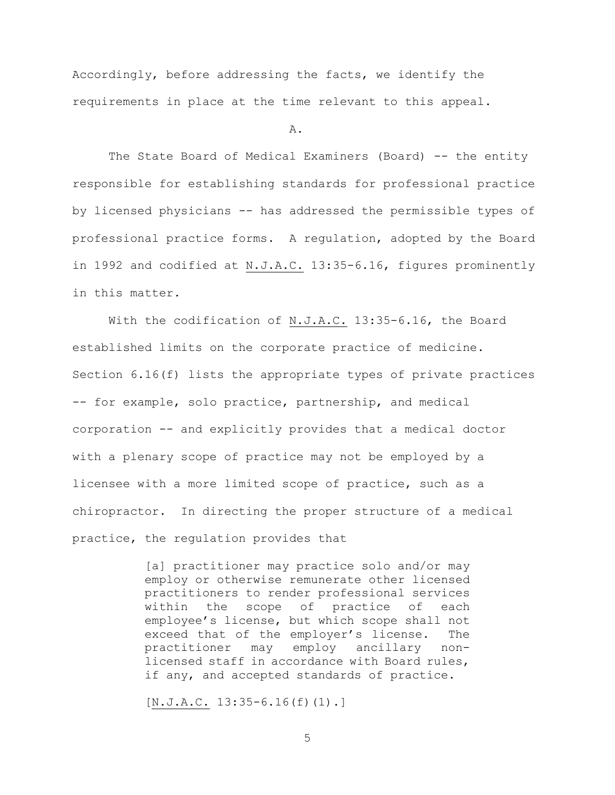Accordingly, before addressing the facts, we identify the requirements in place at the time relevant to this appeal.

## A.

The State Board of Medical Examiners (Board) -- the entity responsible for establishing standards for professional practice by licensed physicians -- has addressed the permissible types of professional practice forms. A regulation, adopted by the Board in 1992 and codified at N.J.A.C. 13:35-6.16, figures prominently in this matter.

With the codification of N.J.A.C. 13:35-6.16, the Board established limits on the corporate practice of medicine. Section 6.16(f) lists the appropriate types of private practices -- for example, solo practice, partnership, and medical corporation -- and explicitly provides that a medical doctor with a plenary scope of practice may not be employed by a licensee with a more limited scope of practice, such as a chiropractor. In directing the proper structure of a medical practice, the regulation provides that

> [a] practitioner may practice solo and/or may employ or otherwise remunerate other licensed practitioners to render professional services within the scope of practice of each employee's license, but which scope shall not exceed that of the employer's license. The practitioner may employ ancillary nonlicensed staff in accordance with Board rules, if any, and accepted standards of practice.

 $[N.J.A.C. 13:35-6.16(f)(1).]$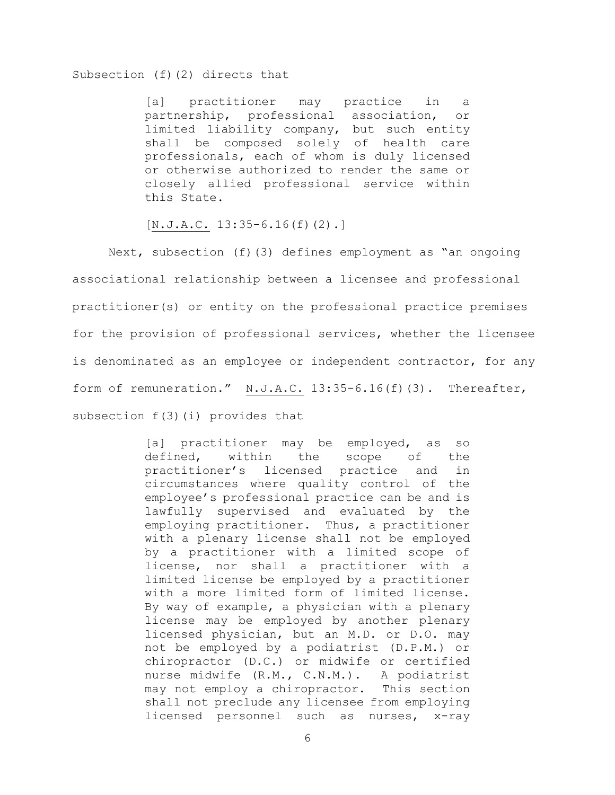## Subsection (f)(2) directs that

[a] practitioner may practice in a partnership, professional association, or limited liability company, but such entity shall be composed solely of health care professionals, each of whom is duly licensed or otherwise authorized to render the same or closely allied professional service within this State.

 $[N.J.A.C. 13:35-6.16(f)(2).]$ 

Next, subsection (f)(3) defines employment as "an ongoing associational relationship between a licensee and professional practitioner(s) or entity on the professional practice premises for the provision of professional services, whether the licensee is denominated as an employee or independent contractor, for any form of remuneration." N.J.A.C. 13:35-6.16(f)(3). Thereafter, subsection f(3)(i) provides that

> [a] practitioner may be employed, as so defined, within the scope of the practitioner's licensed practice and in circumstances where quality control of the employee's professional practice can be and is lawfully supervised and evaluated by the employing practitioner. Thus, a practitioner with a plenary license shall not be employed by a practitioner with a limited scope of license, nor shall a practitioner with a limited license be employed by a practitioner with a more limited form of limited license. By way of example, a physician with a plenary license may be employed by another plenary licensed physician, but an M.D. or D.O. may not be employed by a podiatrist (D.P.M.) or chiropractor (D.C.) or midwife or certified nurse midwife (R.M., C.N.M.). A podiatrist may not employ a chiropractor. This section shall not preclude any licensee from employing licensed personnel such as nurses, x-ray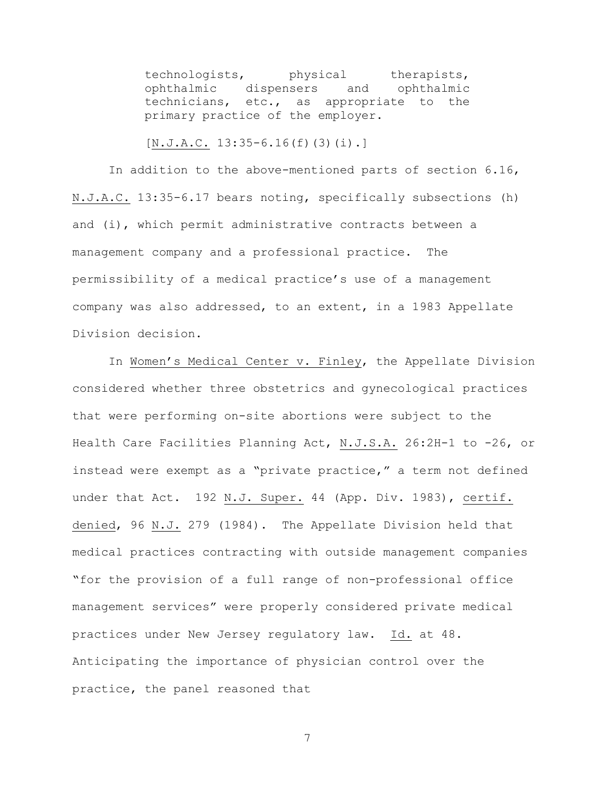technologists, physical therapists, ophthalmic dispensers and ophthalmic technicians, etc., as appropriate to the primary practice of the employer.

 $[N.J.A.C. 13:35-6.16(f)(3)(i).]$ 

In addition to the above-mentioned parts of section 6.16, N.J.A.C. 13:35-6.17 bears noting, specifically subsections (h) and (i), which permit administrative contracts between a management company and a professional practice. The permissibility of a medical practice's use of a management company was also addressed, to an extent, in a 1983 Appellate Division decision.

In Women's Medical Center v. Finley, the Appellate Division considered whether three obstetrics and gynecological practices that were performing on-site abortions were subject to the Health Care Facilities Planning Act, N.J.S.A. 26:2H-1 to -26, or instead were exempt as a "private practice," a term not defined under that Act. 192 N.J. Super. 44 (App. Div. 1983), certif. denied, 96 N.J. 279 (1984). The Appellate Division held that medical practices contracting with outside management companies "for the provision of a full range of non-professional office management services" were properly considered private medical practices under New Jersey regulatory law. Id. at 48. Anticipating the importance of physician control over the practice, the panel reasoned that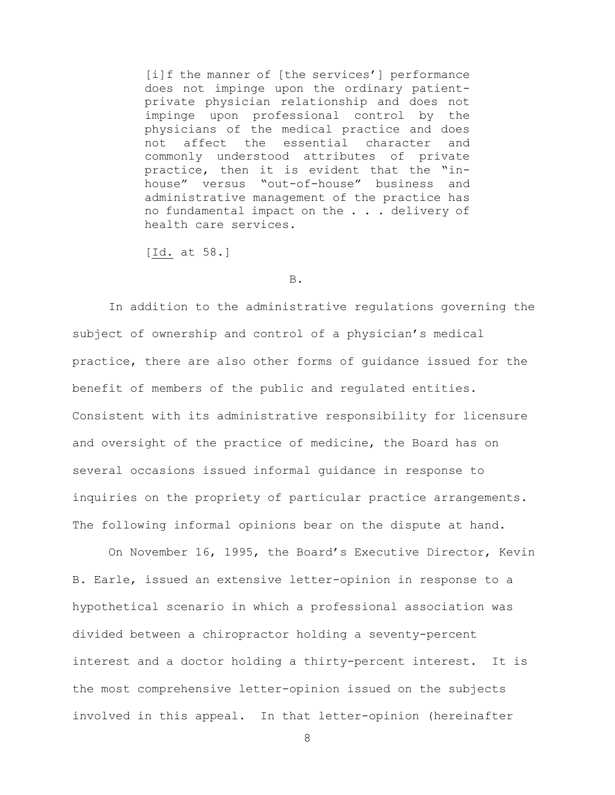[i]f the manner of [the services'] performance does not impinge upon the ordinary patientprivate physician relationship and does not impinge upon professional control by the physicians of the medical practice and does not affect the essential character and commonly understood attributes of private practice, then it is evident that the "inhouse" versus "out-of-house" business and administrative management of the practice has no fundamental impact on the . . . delivery of health care services.

[Id. at 58.]

#### B.

In addition to the administrative regulations governing the subject of ownership and control of a physician's medical practice, there are also other forms of guidance issued for the benefit of members of the public and regulated entities. Consistent with its administrative responsibility for licensure and oversight of the practice of medicine, the Board has on several occasions issued informal guidance in response to inquiries on the propriety of particular practice arrangements. The following informal opinions bear on the dispute at hand.

On November 16, 1995, the Board's Executive Director, Kevin B. Earle, issued an extensive letter-opinion in response to a hypothetical scenario in which a professional association was divided between a chiropractor holding a seventy-percent interest and a doctor holding a thirty-percent interest. It is the most comprehensive letter-opinion issued on the subjects involved in this appeal. In that letter-opinion (hereinafter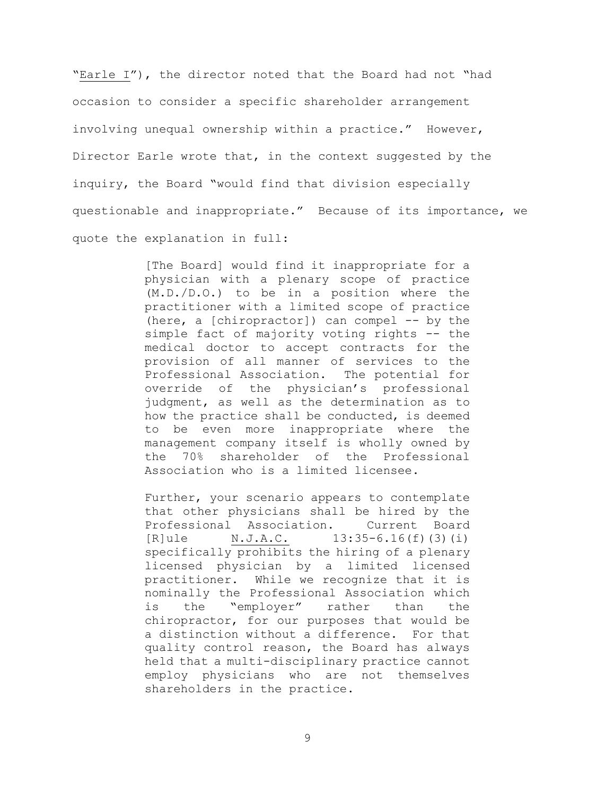"Earle I"), the director noted that the Board had not "had occasion to consider a specific shareholder arrangement involving unequal ownership within a practice." However, Director Earle wrote that, in the context suggested by the inquiry, the Board "would find that division especially questionable and inappropriate." Because of its importance, we quote the explanation in full:

> [The Board] would find it inappropriate for a physician with a plenary scope of practice (M.D./D.O.) to be in a position where the practitioner with a limited scope of practice (here, a [chiropractor]) can compel -- by the simple fact of majority voting rights -- the medical doctor to accept contracts for the provision of all manner of services to the Professional Association. The potential for override of the physician's professional judgment, as well as the determination as to how the practice shall be conducted, is deemed to be even more inappropriate where the management company itself is wholly owned by the 70% shareholder of the Professional Association who is a limited licensee.

> Further, your scenario appears to contemplate that other physicians shall be hired by the Professional Association. Current Board  $[R]$ ule N.J.A.C.  $13:35-6.16(f)(3)(i)$ specifically prohibits the hiring of a plenary licensed physician by a limited licensed practitioner. While we recognize that it is nominally the Professional Association which is the "employer" rather than the chiropractor, for our purposes that would be a distinction without a difference. For that quality control reason, the Board has always held that a multi-disciplinary practice cannot employ physicians who are not themselves shareholders in the practice.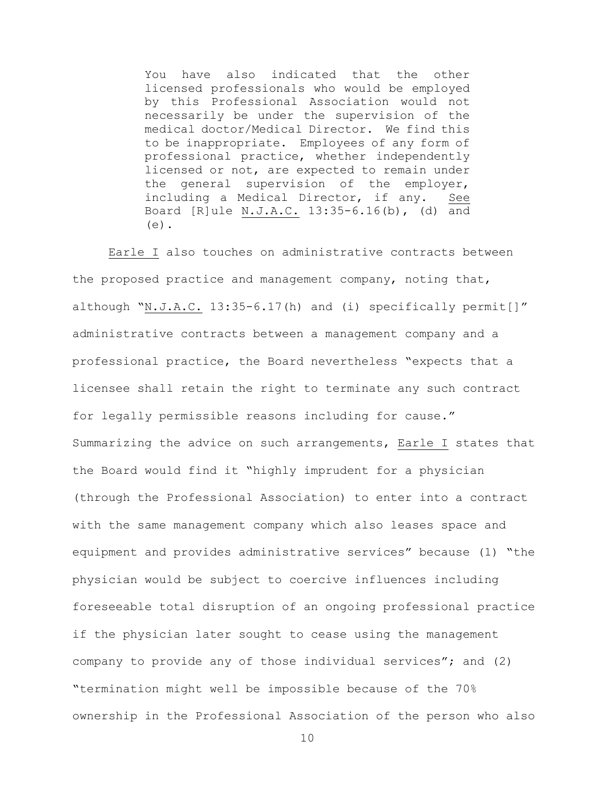You have also indicated that the other licensed professionals who would be employed by this Professional Association would not necessarily be under the supervision of the medical doctor/Medical Director. We find this to be inappropriate. Employees of any form of professional practice, whether independently licensed or not, are expected to remain under the general supervision of the employer, including a Medical Director, if any. See Board [R]ule N.J.A.C. 13:35-6.16(b), (d) and  $(e)$ .

Earle I also touches on administrative contracts between the proposed practice and management company, noting that, although "N.J.A.C. 13:35-6.17(h) and (i) specifically permit[]" administrative contracts between a management company and a professional practice, the Board nevertheless "expects that a licensee shall retain the right to terminate any such contract for legally permissible reasons including for cause." Summarizing the advice on such arrangements, Earle I states that the Board would find it "highly imprudent for a physician (through the Professional Association) to enter into a contract with the same management company which also leases space and equipment and provides administrative services" because (1) "the physician would be subject to coercive influences including foreseeable total disruption of an ongoing professional practice if the physician later sought to cease using the management company to provide any of those individual services"; and (2) "termination might well be impossible because of the 70% ownership in the Professional Association of the person who also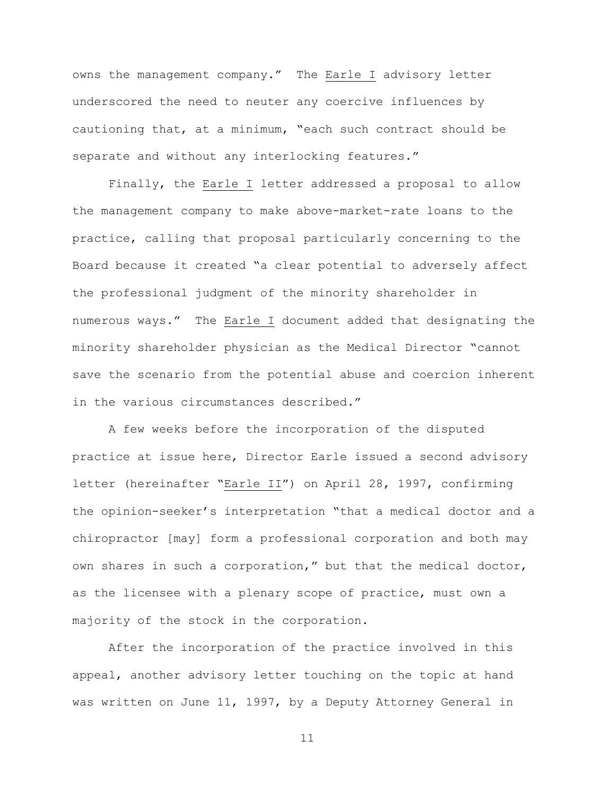owns the management company." The Earle I advisory letter underscored the need to neuter any coercive influences by cautioning that, at a minimum, "each such contract should be separate and without any interlocking features."

Finally, the Earle I letter addressed a proposal to allow the management company to make above-market-rate loans to the practice, calling that proposal particularly concerning to the Board because it created "a clear potential to adversely affect the professional judgment of the minority shareholder in numerous ways." The Earle I document added that designating the minority shareholder physician as the Medical Director "cannot save the scenario from the potential abuse and coercion inherent in the various circumstances described."

A few weeks before the incorporation of the disputed practice at issue here, Director Earle issued a second advisory letter (hereinafter "Earle II") on April 28, 1997, confirming the opinion-seeker's interpretation "that a medical doctor and a chiropractor [may] form a professional corporation and both may own shares in such a corporation," but that the medical doctor, as the licensee with a plenary scope of practice, must own a majority of the stock in the corporation.

After the incorporation of the practice involved in this appeal, another advisory letter touching on the topic at hand was written on June 11, 1997, by a Deputy Attorney General in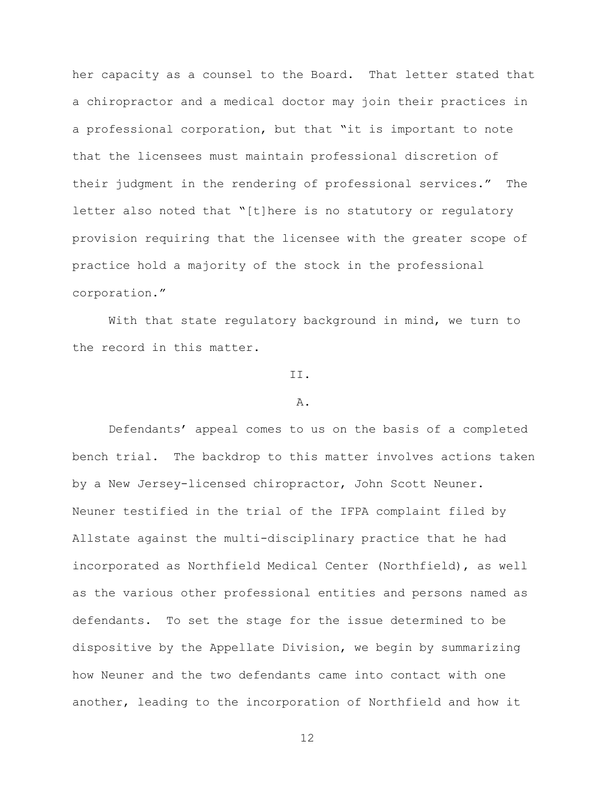her capacity as a counsel to the Board. That letter stated that a chiropractor and a medical doctor may join their practices in a professional corporation, but that "it is important to note that the licensees must maintain professional discretion of their judgment in the rendering of professional services." The letter also noted that "[t]here is no statutory or regulatory provision requiring that the licensee with the greater scope of practice hold a majority of the stock in the professional corporation."

With that state regulatory background in mind, we turn to the record in this matter.

# II.

## A.

Defendants' appeal comes to us on the basis of a completed bench trial. The backdrop to this matter involves actions taken by a New Jersey-licensed chiropractor, John Scott Neuner. Neuner testified in the trial of the IFPA complaint filed by Allstate against the multi-disciplinary practice that he had incorporated as Northfield Medical Center (Northfield), as well as the various other professional entities and persons named as defendants. To set the stage for the issue determined to be dispositive by the Appellate Division, we begin by summarizing how Neuner and the two defendants came into contact with one another, leading to the incorporation of Northfield and how it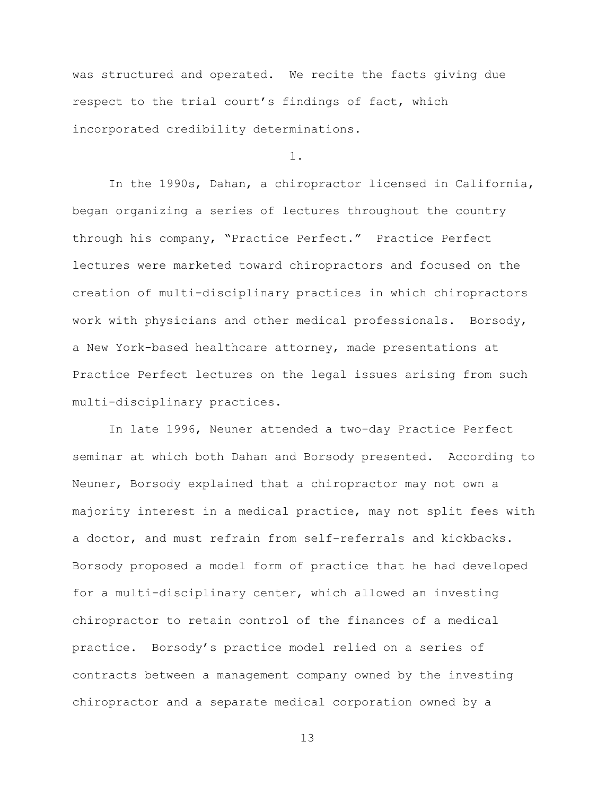was structured and operated. We recite the facts giving due respect to the trial court's findings of fact, which incorporated credibility determinations.

1.

In the 1990s, Dahan, a chiropractor licensed in California, began organizing a series of lectures throughout the country through his company, "Practice Perfect." Practice Perfect lectures were marketed toward chiropractors and focused on the creation of multi-disciplinary practices in which chiropractors work with physicians and other medical professionals. Borsody, a New York-based healthcare attorney, made presentations at Practice Perfect lectures on the legal issues arising from such multi-disciplinary practices.

In late 1996, Neuner attended a two-day Practice Perfect seminar at which both Dahan and Borsody presented. According to Neuner, Borsody explained that a chiropractor may not own a majority interest in a medical practice, may not split fees with a doctor, and must refrain from self-referrals and kickbacks. Borsody proposed a model form of practice that he had developed for a multi-disciplinary center, which allowed an investing chiropractor to retain control of the finances of a medical practice. Borsody's practice model relied on a series of contracts between a management company owned by the investing chiropractor and a separate medical corporation owned by a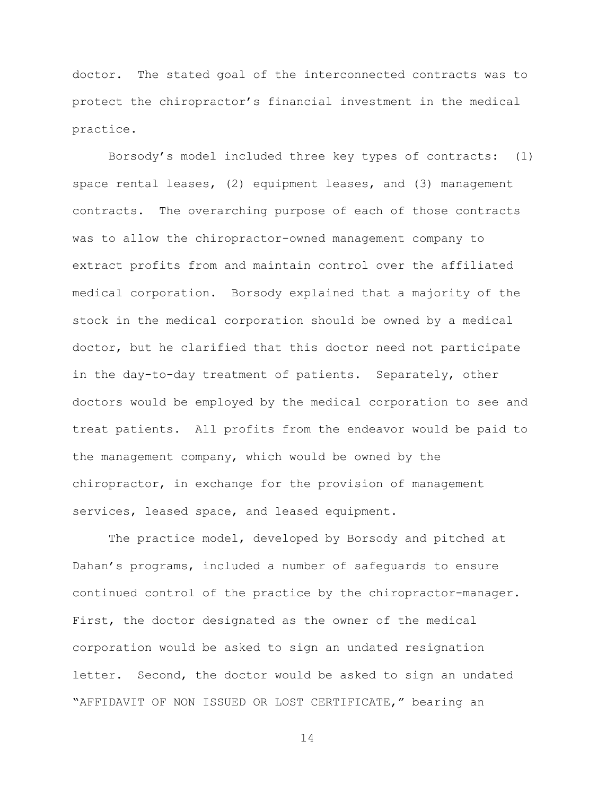doctor. The stated goal of the interconnected contracts was to protect the chiropractor's financial investment in the medical practice.

Borsody's model included three key types of contracts: (1) space rental leases, (2) equipment leases, and (3) management contracts. The overarching purpose of each of those contracts was to allow the chiropractor-owned management company to extract profits from and maintain control over the affiliated medical corporation. Borsody explained that a majority of the stock in the medical corporation should be owned by a medical doctor, but he clarified that this doctor need not participate in the day-to-day treatment of patients. Separately, other doctors would be employed by the medical corporation to see and treat patients. All profits from the endeavor would be paid to the management company, which would be owned by the chiropractor, in exchange for the provision of management services, leased space, and leased equipment.

The practice model, developed by Borsody and pitched at Dahan's programs, included a number of safeguards to ensure continued control of the practice by the chiropractor-manager. First, the doctor designated as the owner of the medical corporation would be asked to sign an undated resignation letter. Second, the doctor would be asked to sign an undated "AFFIDAVIT OF NON ISSUED OR LOST CERTIFICATE," bearing an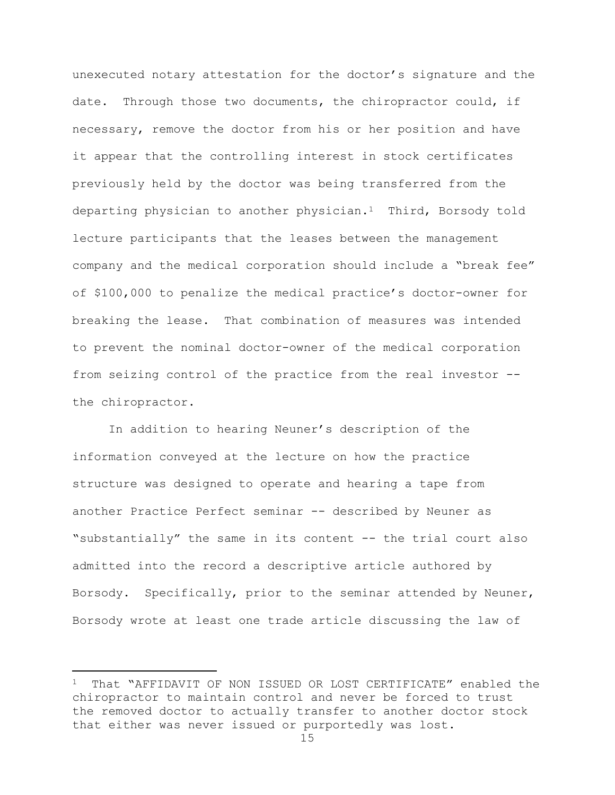unexecuted notary attestation for the doctor's signature and the date. Through those two documents, the chiropractor could, if necessary, remove the doctor from his or her position and have it appear that the controlling interest in stock certificates previously held by the doctor was being transferred from the departing physician to another physician.1 Third, Borsody told lecture participants that the leases between the management company and the medical corporation should include a "break fee" of \$100,000 to penalize the medical practice's doctor-owner for breaking the lease. That combination of measures was intended to prevent the nominal doctor-owner of the medical corporation from seizing control of the practice from the real investor - the chiropractor.

In addition to hearing Neuner's description of the information conveyed at the lecture on how the practice structure was designed to operate and hearing a tape from another Practice Perfect seminar -- described by Neuner as "substantially" the same in its content -- the trial court also admitted into the record a descriptive article authored by Borsody. Specifically, prior to the seminar attended by Neuner, Borsody wrote at least one trade article discussing the law of

L,

<sup>1</sup> That "AFFIDAVIT OF NON ISSUED OR LOST CERTIFICATE" enabled the chiropractor to maintain control and never be forced to trust the removed doctor to actually transfer to another doctor stock that either was never issued or purportedly was lost.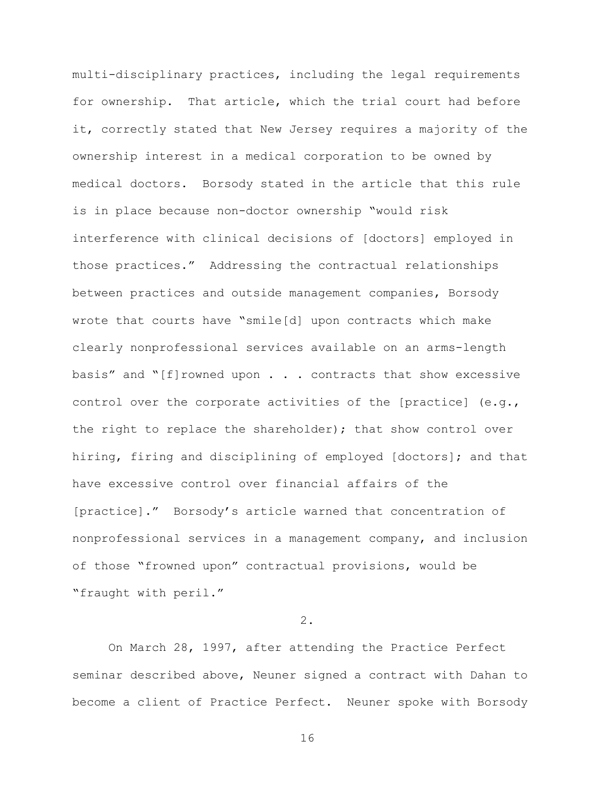multi-disciplinary practices, including the legal requirements for ownership. That article, which the trial court had before it, correctly stated that New Jersey requires a majority of the ownership interest in a medical corporation to be owned by medical doctors. Borsody stated in the article that this rule is in place because non-doctor ownership "would risk interference with clinical decisions of [doctors] employed in those practices." Addressing the contractual relationships between practices and outside management companies, Borsody wrote that courts have "smile[d] upon contracts which make clearly nonprofessional services available on an arms-length basis" and  $\lceil f \rceil$  rowned upon . . . contracts that show excessive control over the corporate activities of the [practice] (e.g., the right to replace the shareholder); that show control over hiring, firing and disciplining of employed [doctors]; and that have excessive control over financial affairs of the [practice]." Borsody's article warned that concentration of nonprofessional services in a management company, and inclusion of those "frowned upon" contractual provisions, would be "fraught with peril."

# 2.

On March 28, 1997, after attending the Practice Perfect seminar described above, Neuner signed a contract with Dahan to become a client of Practice Perfect. Neuner spoke with Borsody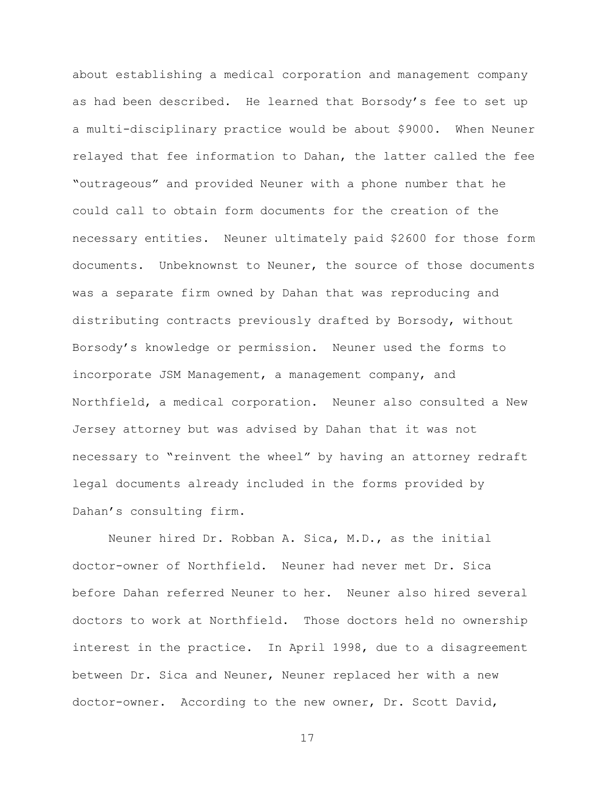about establishing a medical corporation and management company as had been described. He learned that Borsody's fee to set up a multi-disciplinary practice would be about \$9000. When Neuner relayed that fee information to Dahan, the latter called the fee "outrageous" and provided Neuner with a phone number that he could call to obtain form documents for the creation of the necessary entities. Neuner ultimately paid \$2600 for those form documents. Unbeknownst to Neuner, the source of those documents was a separate firm owned by Dahan that was reproducing and distributing contracts previously drafted by Borsody, without Borsody's knowledge or permission. Neuner used the forms to incorporate JSM Management, a management company, and Northfield, a medical corporation. Neuner also consulted a New Jersey attorney but was advised by Dahan that it was not necessary to "reinvent the wheel" by having an attorney redraft legal documents already included in the forms provided by Dahan's consulting firm.

Neuner hired Dr. Robban A. Sica, M.D., as the initial doctor-owner of Northfield. Neuner had never met Dr. Sica before Dahan referred Neuner to her. Neuner also hired several doctors to work at Northfield. Those doctors held no ownership interest in the practice. In April 1998, due to a disagreement between Dr. Sica and Neuner, Neuner replaced her with a new doctor-owner. According to the new owner, Dr. Scott David,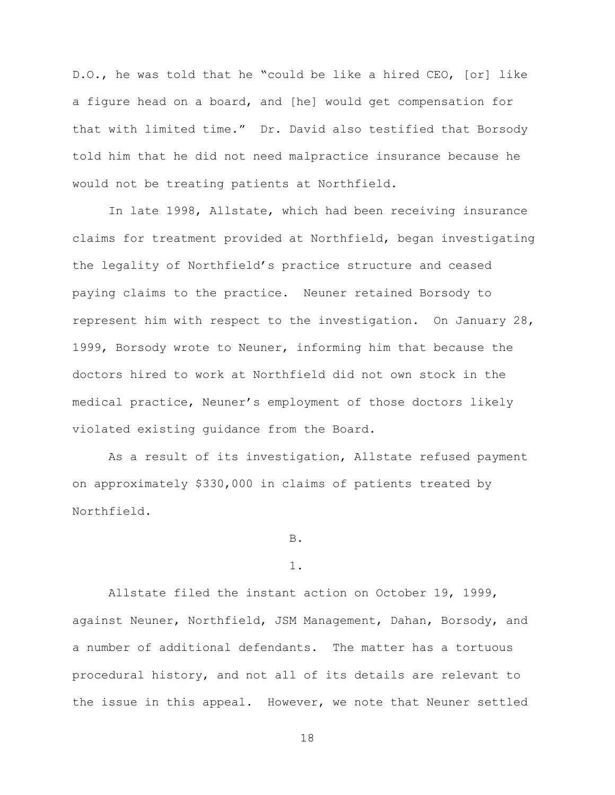D.O., he was told that he "could be like a hired CEO, [or] like a figure head on a board, and [he] would get compensation for that with limited time." Dr. David also testified that Borsody told him that he did not need malpractice insurance because he would not be treating patients at Northfield.

In late 1998, Allstate, which had been receiving insurance claims for treatment provided at Northfield, began investigating the legality of Northfield's practice structure and ceased paying claims to the practice. Neuner retained Borsody to represent him with respect to the investigation. On January 28, 1999, Borsody wrote to Neuner, informing him that because the doctors hired to work at Northfield did not own stock in the medical practice, Neuner's employment of those doctors likely violated existing guidance from the Board.

As a result of its investigation, Allstate refused payment on approximately \$330,000 in claims of patients treated by Northfield.

B.

## 1.

Allstate filed the instant action on October 19, 1999, against Neuner, Northfield, JSM Management, Dahan, Borsody, and a number of additional defendants. The matter has a tortuous procedural history, and not all of its details are relevant to the issue in this appeal. However, we note that Neuner settled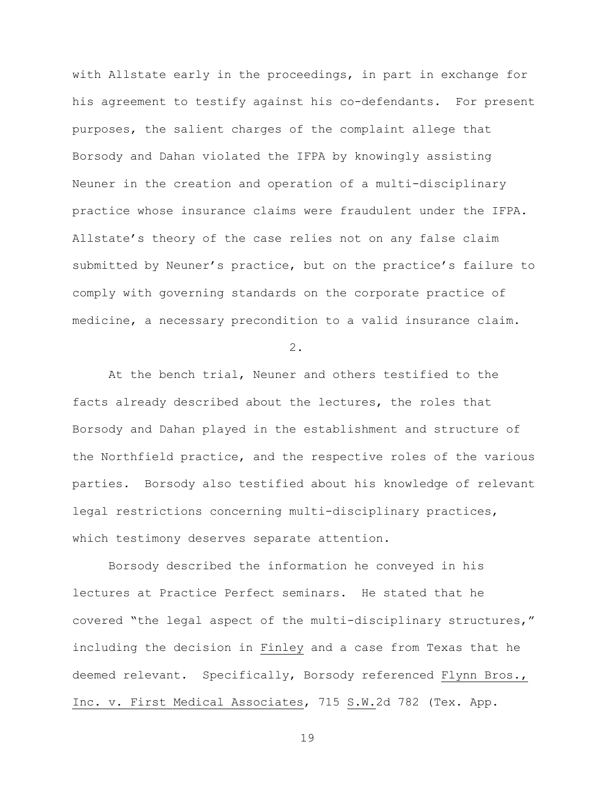with Allstate early in the proceedings, in part in exchange for his agreement to testify against his co-defendants. For present purposes, the salient charges of the complaint allege that Borsody and Dahan violated the IFPA by knowingly assisting Neuner in the creation and operation of a multi-disciplinary practice whose insurance claims were fraudulent under the IFPA. Allstate's theory of the case relies not on any false claim submitted by Neuner's practice, but on the practice's failure to comply with governing standards on the corporate practice of medicine, a necessary precondition to a valid insurance claim.

2.

At the bench trial, Neuner and others testified to the facts already described about the lectures, the roles that Borsody and Dahan played in the establishment and structure of the Northfield practice, and the respective roles of the various parties. Borsody also testified about his knowledge of relevant legal restrictions concerning multi-disciplinary practices, which testimony deserves separate attention.

Borsody described the information he conveyed in his lectures at Practice Perfect seminars. He stated that he covered "the legal aspect of the multi-disciplinary structures," including the decision in Finley and a case from Texas that he deemed relevant. Specifically, Borsody referenced Flynn Bros., Inc. v. First Medical Associates, 715 S.W.2d 782 (Tex. App.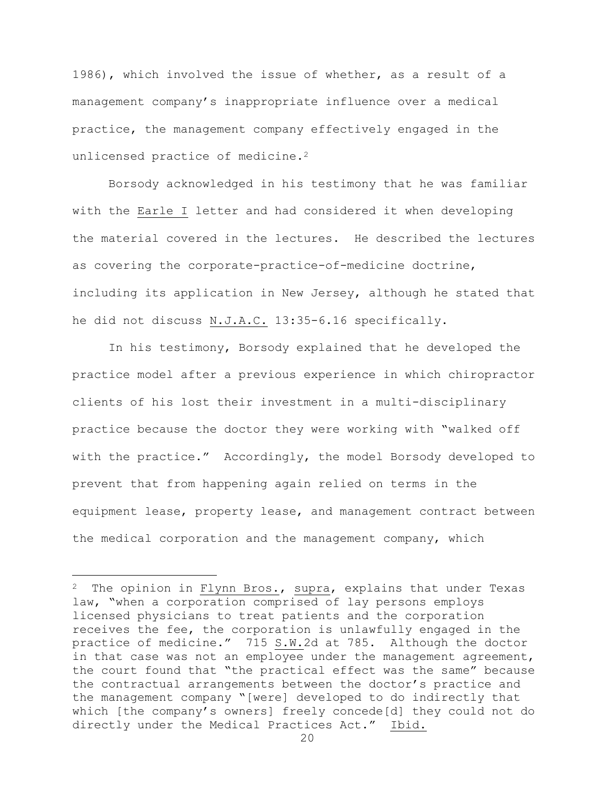1986), which involved the issue of whether, as a result of a management company's inappropriate influence over a medical practice, the management company effectively engaged in the unlicensed practice of medicine.<sup>2</sup>

Borsody acknowledged in his testimony that he was familiar with the Earle I letter and had considered it when developing the material covered in the lectures. He described the lectures as covering the corporate-practice-of-medicine doctrine, including its application in New Jersey, although he stated that he did not discuss N.J.A.C. 13:35-6.16 specifically.

In his testimony, Borsody explained that he developed the practice model after a previous experience in which chiropractor clients of his lost their investment in a multi-disciplinary practice because the doctor they were working with "walked off with the practice." Accordingly, the model Borsody developed to prevent that from happening again relied on terms in the equipment lease, property lease, and management contract between the medical corporation and the management company, which

a<br>B

 $2$  The opinion in Flynn Bros., supra, explains that under Texas law, "when a corporation comprised of lay persons employs licensed physicians to treat patients and the corporation receives the fee, the corporation is unlawfully engaged in the practice of medicine." 715 S.W.2d at 785. Although the doctor in that case was not an employee under the management agreement, the court found that "the practical effect was the same" because the contractual arrangements between the doctor's practice and the management company "[were] developed to do indirectly that which [the company's owners] freely concede[d] they could not do directly under the Medical Practices Act." Ibid.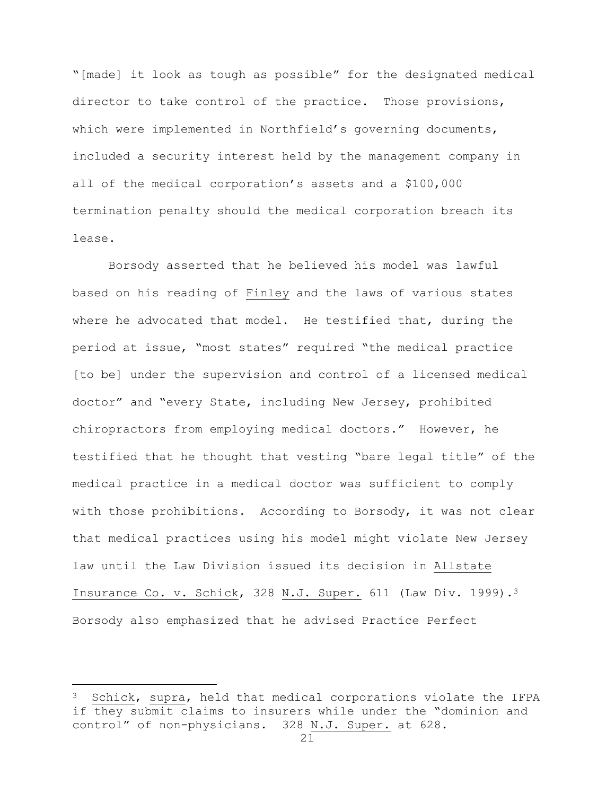"[made] it look as tough as possible" for the designated medical director to take control of the practice. Those provisions, which were implemented in Northfield's governing documents, included a security interest held by the management company in all of the medical corporation's assets and a \$100,000 termination penalty should the medical corporation breach its lease.

Borsody asserted that he believed his model was lawful based on his reading of Finley and the laws of various states where he advocated that model. He testified that, during the period at issue, "most states" required "the medical practice [to be] under the supervision and control of a licensed medical doctor" and "every State, including New Jersey, prohibited chiropractors from employing medical doctors." However, he testified that he thought that vesting "bare legal title" of the medical practice in a medical doctor was sufficient to comply with those prohibitions. According to Borsody, it was not clear that medical practices using his model might violate New Jersey law until the Law Division issued its decision in Allstate Insurance Co. v. Schick, 328 N.J. Super. 611 (Law Div. 1999).<sup>3</sup> Borsody also emphasized that he advised Practice Perfect

÷.

<sup>3</sup> Schick, supra, held that medical corporations violate the IFPA if they submit claims to insurers while under the "dominion and control" of non-physicians. 328 N.J. Super. at 628.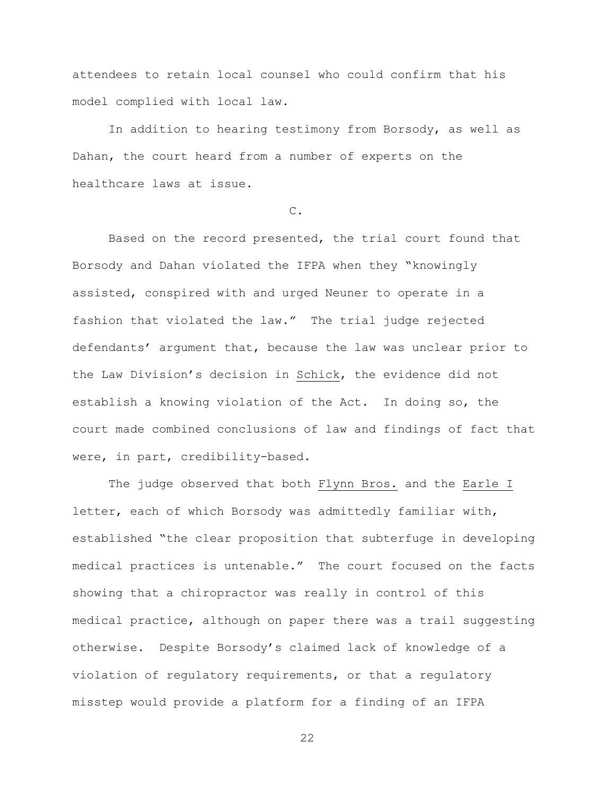attendees to retain local counsel who could confirm that his model complied with local law.

In addition to hearing testimony from Borsody, as well as Dahan, the court heard from a number of experts on the healthcare laws at issue.

C.

Based on the record presented, the trial court found that Borsody and Dahan violated the IFPA when they "knowingly assisted, conspired with and urged Neuner to operate in a fashion that violated the law." The trial judge rejected defendants' argument that, because the law was unclear prior to the Law Division's decision in Schick, the evidence did not establish a knowing violation of the Act. In doing so, the court made combined conclusions of law and findings of fact that were, in part, credibility-based.

The judge observed that both Flynn Bros. and the Earle I letter, each of which Borsody was admittedly familiar with, established "the clear proposition that subterfuge in developing medical practices is untenable." The court focused on the facts showing that a chiropractor was really in control of this medical practice, although on paper there was a trail suggesting otherwise. Despite Borsody's claimed lack of knowledge of a violation of regulatory requirements, or that a regulatory misstep would provide a platform for a finding of an IFPA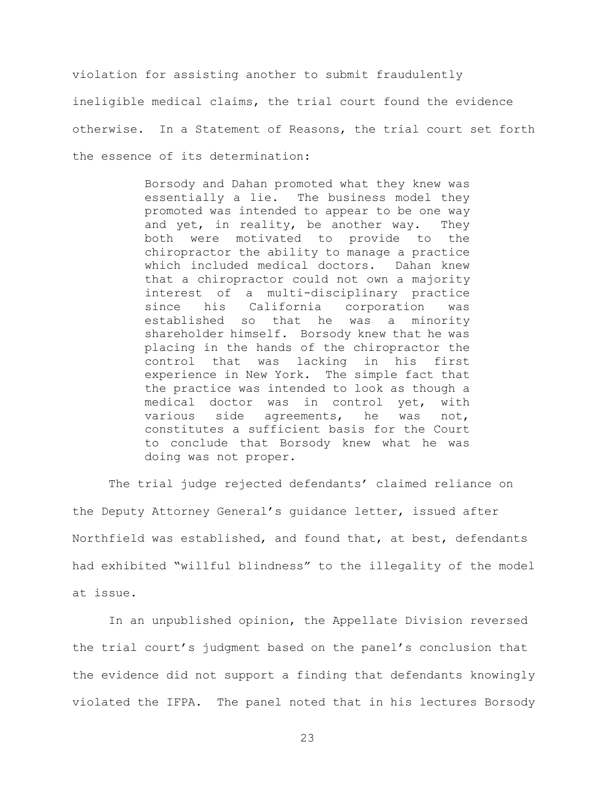violation for assisting another to submit fraudulently ineligible medical claims, the trial court found the evidence otherwise. In a Statement of Reasons, the trial court set forth the essence of its determination:

> Borsody and Dahan promoted what they knew was essentially a lie. The business model they promoted was intended to appear to be one way and yet, in reality, be another way. They both were motivated to provide to the chiropractor the ability to manage a practice which included medical doctors. Dahan knew that a chiropractor could not own a majority interest of a multi-disciplinary practice since his California corporation was established so that he was a minority shareholder himself. Borsody knew that he was placing in the hands of the chiropractor the control that was lacking in his first experience in New York. The simple fact that the practice was intended to look as though a medical doctor was in control yet, with various side agreements, he was not, constitutes a sufficient basis for the Court to conclude that Borsody knew what he was doing was not proper.

The trial judge rejected defendants' claimed reliance on the Deputy Attorney General's guidance letter, issued after Northfield was established, and found that, at best, defendants had exhibited "willful blindness" to the illegality of the model at issue.

In an unpublished opinion, the Appellate Division reversed the trial court's judgment based on the panel's conclusion that the evidence did not support a finding that defendants knowingly violated the IFPA. The panel noted that in his lectures Borsody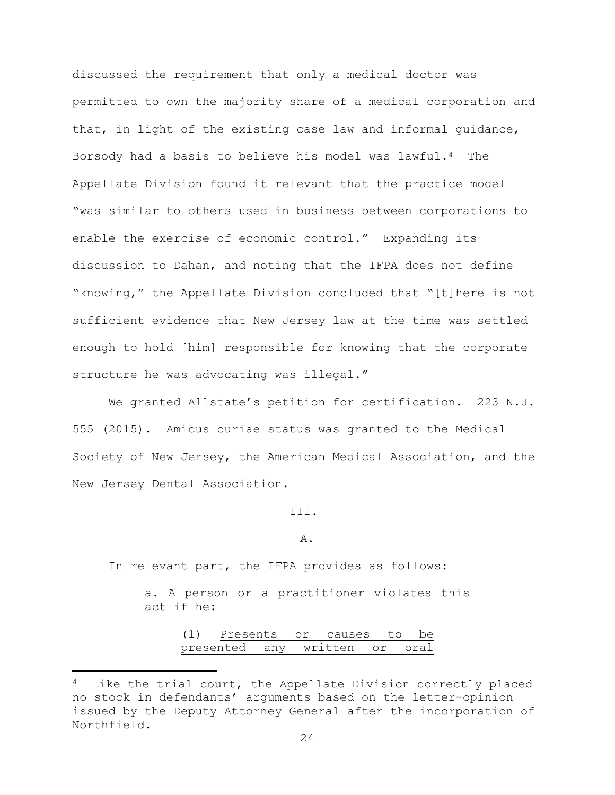discussed the requirement that only a medical doctor was permitted to own the majority share of a medical corporation and that, in light of the existing case law and informal guidance, Borsody had a basis to believe his model was lawful.4 The Appellate Division found it relevant that the practice model "was similar to others used in business between corporations to enable the exercise of economic control." Expanding its discussion to Dahan, and noting that the IFPA does not define "knowing," the Appellate Division concluded that "[t]here is not sufficient evidence that New Jersey law at the time was settled enough to hold [him] responsible for knowing that the corporate structure he was advocating was illegal."

We granted Allstate's petition for certification. 223 N.J. 555 (2015). Amicus curiae status was granted to the Medical Society of New Jersey, the American Medical Association, and the New Jersey Dental Association.

III.

A.

In relevant part, the IFPA provides as follows:

L,

a. A person or a practitioner violates this act if he:

| (1) |  | Presents or causes to be      |  |
|-----|--|-------------------------------|--|
|     |  | presented any written or oral |  |

<sup>&</sup>lt;sup>4</sup> Like the trial court, the Appellate Division correctly placed no stock in defendants' arguments based on the letter-opinion issued by the Deputy Attorney General after the incorporation of Northfield.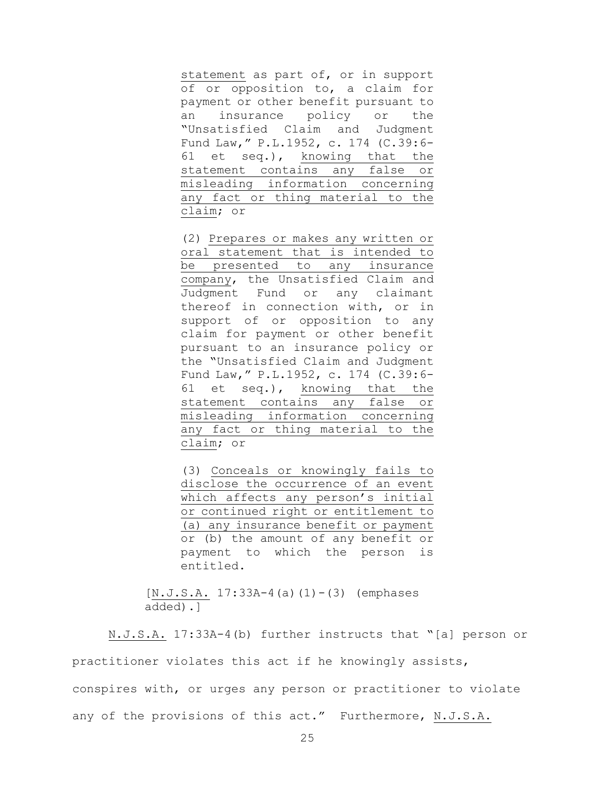statement as part of, or in support of or opposition to, a claim for payment or other benefit pursuant to an insurance policy or the "Unsatisfied Claim and Judgment Fund Law," P.L.1952, c. 174 [\(C.39:6-](https://advance.lexis.com/document/?pdmfid=1000516&crid=3032eb1d-05ca-40ab-bc97-73be8c1ae4d7&pddocfullpath=%2Fshared%2Fdocument%2Fstatutes-legislation%2Furn%3AcontentItem%3A5GHG-5NN1-DXC8-02TH-00000-00&pddocid=urn%3AcontentItem%3A5GHG-5NN1-DXC8-02TH-00000-00&pdcontentcomponentid=9077&pdteaserkey=sr0&ecomp=7nLhk&earg=sr0&prid=870cd6a9-9d5c-426c-80b7-177ef27f6f58) [61](https://advance.lexis.com/document/?pdmfid=1000516&crid=3032eb1d-05ca-40ab-bc97-73be8c1ae4d7&pddocfullpath=%2Fshared%2Fdocument%2Fstatutes-legislation%2Furn%3AcontentItem%3A5GHG-5NN1-DXC8-02TH-00000-00&pddocid=urn%3AcontentItem%3A5GHG-5NN1-DXC8-02TH-00000-00&pdcontentcomponentid=9077&pdteaserkey=sr0&ecomp=7nLhk&earg=sr0&prid=870cd6a9-9d5c-426c-80b7-177ef27f6f58) et seq.), knowing that the statement contains any false or misleading information concerning any fact or thing material to the claim; or

(2) Prepares or makes any written or oral statement that is intended to be presented to any insurance company, the Unsatisfied Claim and Judgment Fund or any claimant thereof in connection with, or in support of or opposition to any claim for payment or other benefit pursuant to an insurance policy or the "Unsatisfied Claim and Judgment Fund Law," P.L.1952, c. 174 [\(C.39:6-](https://advance.lexis.com/document/?pdmfid=1000516&crid=3032eb1d-05ca-40ab-bc97-73be8c1ae4d7&pddocfullpath=%2Fshared%2Fdocument%2Fstatutes-legislation%2Furn%3AcontentItem%3A5GHG-5NN1-DXC8-02TH-00000-00&pddocid=urn%3AcontentItem%3A5GHG-5NN1-DXC8-02TH-00000-00&pdcontentcomponentid=9077&pdteaserkey=sr0&ecomp=7nLhk&earg=sr0&prid=870cd6a9-9d5c-426c-80b7-177ef27f6f58) [61](https://advance.lexis.com/document/?pdmfid=1000516&crid=3032eb1d-05ca-40ab-bc97-73be8c1ae4d7&pddocfullpath=%2Fshared%2Fdocument%2Fstatutes-legislation%2Furn%3AcontentItem%3A5GHG-5NN1-DXC8-02TH-00000-00&pddocid=urn%3AcontentItem%3A5GHG-5NN1-DXC8-02TH-00000-00&pdcontentcomponentid=9077&pdteaserkey=sr0&ecomp=7nLhk&earg=sr0&prid=870cd6a9-9d5c-426c-80b7-177ef27f6f58) et seq.), knowing that the statement contains any false or misleading information concerning any fact or thing material to the claim; or

(3) Conceals or knowingly fails to disclose the occurrence of an event which affects any person's initial or continued right or entitlement to (a) any insurance benefit or payment or (b) the amount of any benefit or payment to which the person is entitled.

 $[N.J.S.A. 17:33A-4(a) (1)-(3)$  (emphases added).]

N.J.S.A. 17:33A-4(b) further instructs that "[a] person or practitioner violates this act if he knowingly assists, conspires with, or urges any person or practitioner to violate any of the provisions of this act." Furthermore, N.J.S.A.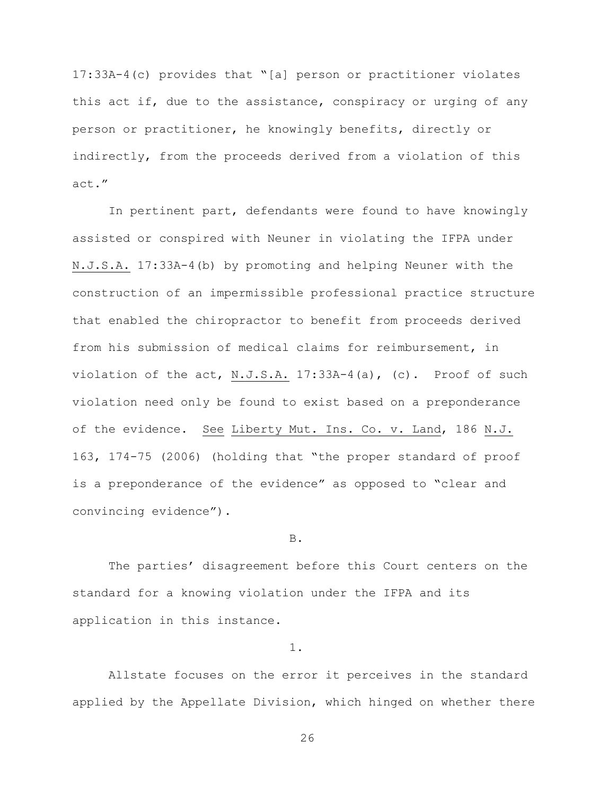17:33A-4(c) provides that "[a] person or practitioner violates this act if, due to the assistance, conspiracy or urging of any person or practitioner, he knowingly benefits, directly or indirectly, from the proceeds derived from a violation of this act."

In pertinent part, defendants were found to have knowingly assisted or conspired with Neuner in violating the IFPA under N.J.S.A. 17:33A-4(b) by promoting and helping Neuner with the construction of an impermissible professional practice structure that enabled the chiropractor to benefit from proceeds derived from his submission of medical claims for reimbursement, in violation of the act, N.J.S.A. 17:33A-4(a), (c). Proof of such violation need only be found to exist based on a preponderance of the evidence. See Liberty Mut. Ins. Co. v. Land, 186 N.J. 163, 174-75 (2006) (holding that "the proper standard of proof is a preponderance of the evidence" as opposed to "clear and convincing evidence").

## B.

The parties' disagreement before this Court centers on the standard for a knowing violation under the IFPA and its application in this instance.

1.

Allstate focuses on the error it perceives in the standard applied by the Appellate Division, which hinged on whether there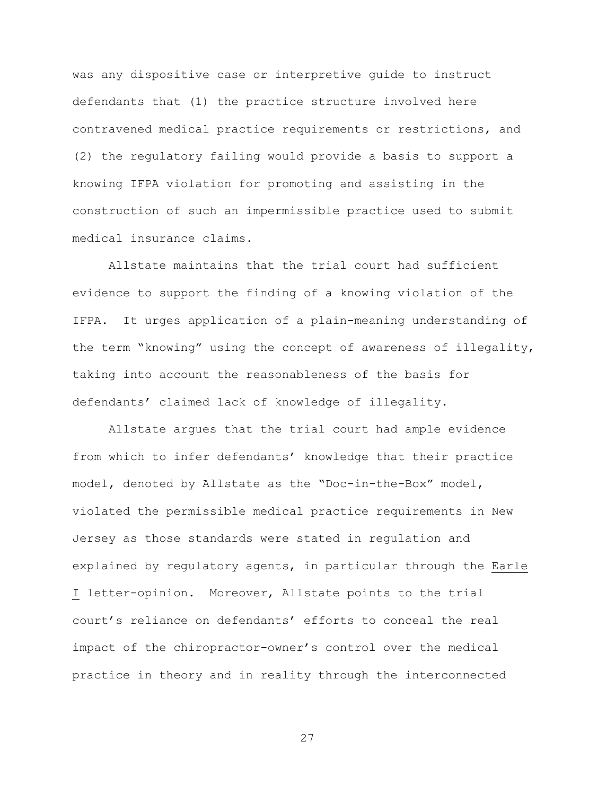was any dispositive case or interpretive guide to instruct defendants that (1) the practice structure involved here contravened medical practice requirements or restrictions, and (2) the regulatory failing would provide a basis to support a knowing IFPA violation for promoting and assisting in the construction of such an impermissible practice used to submit medical insurance claims.

Allstate maintains that the trial court had sufficient evidence to support the finding of a knowing violation of the IFPA. It urges application of a plain-meaning understanding of the term "knowing" using the concept of awareness of illegality, taking into account the reasonableness of the basis for defendants' claimed lack of knowledge of illegality.

Allstate argues that the trial court had ample evidence from which to infer defendants' knowledge that their practice model, denoted by Allstate as the "Doc-in-the-Box" model, violated the permissible medical practice requirements in New Jersey as those standards were stated in regulation and explained by regulatory agents, in particular through the Earle I letter-opinion. Moreover, Allstate points to the trial court's reliance on defendants' efforts to conceal the real impact of the chiropractor-owner's control over the medical practice in theory and in reality through the interconnected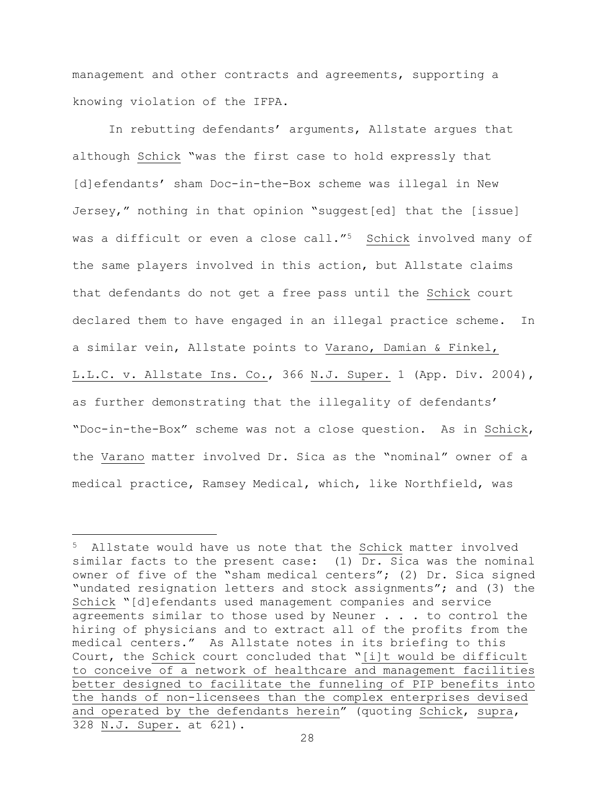management and other contracts and agreements, supporting a knowing violation of the IFPA.

In rebutting defendants' arguments, Allstate argues that although Schick "was the first case to hold expressly that [d]efendants' sham Doc-in-the-Box scheme was illegal in New Jersey," nothing in that opinion "suggest[ed] that the [issue] was a difficult or even a close call."<sup>5</sup> Schick involved many of the same players involved in this action, but Allstate claims that defendants do not get a free pass until the Schick court declared them to have engaged in an illegal practice scheme. In a similar vein, Allstate points to Varano, Damian & Finkel, L.L.C. v. Allstate Ins. Co., 366 N.J. Super. 1 (App. Div. 2004), as further demonstrating that the illegality of defendants' "Doc-in-the-Box" scheme was not a close question. As in Schick, the Varano matter involved Dr. Sica as the "nominal" owner of a medical practice, Ramsey Medical, which, like Northfield, was

÷.

<sup>5</sup> Allstate would have us note that the Schick matter involved similar facts to the present case: (1) Dr. Sica was the nominal owner of five of the "sham medical centers"; (2) Dr. Sica signed "undated resignation letters and stock assignments"; and (3) the Schick "[d]efendants used management companies and service agreements similar to those used by Neuner . . . to control the hiring of physicians and to extract all of the profits from the medical centers." As Allstate notes in its briefing to this Court, the Schick court concluded that "[i]t would be difficult to conceive of a network of healthcare and management facilities better designed to facilitate the funneling of PIP benefits into the hands of non-licensees than the complex enterprises devised and operated by the defendants herein" (quoting Schick, supra, 328 N.J. Super. at 621).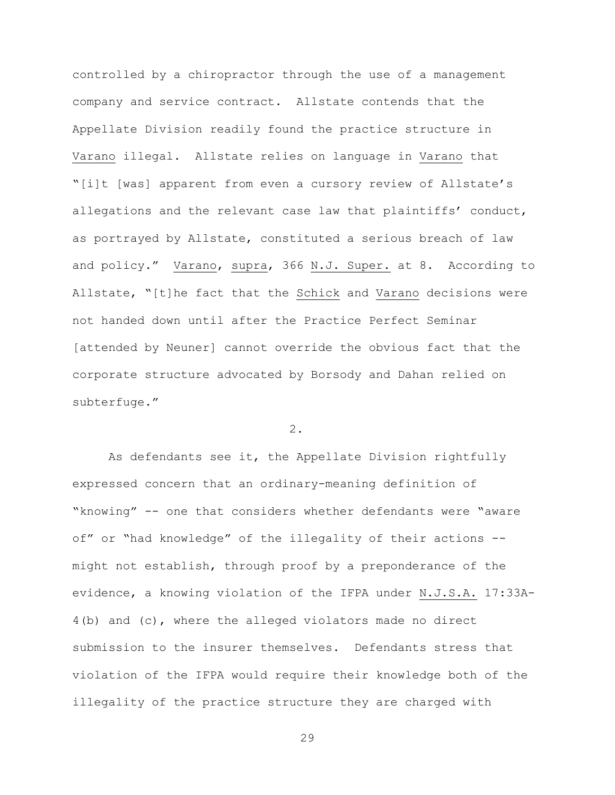controlled by a chiropractor through the use of a management company and service contract. Allstate contends that the Appellate Division readily found the practice structure in Varano illegal. Allstate relies on language in Varano that "[i]t [was] apparent from even a cursory review of Allstate's allegations and the relevant case law that plaintiffs' conduct, as portrayed by Allstate, constituted a serious breach of law and policy." Varano, supra, 366 N.J. Super. at 8. According to Allstate, "[t]he fact that the Schick and Varano decisions were not handed down until after the Practice Perfect Seminar [attended by Neuner] cannot override the obvious fact that the corporate structure advocated by Borsody and Dahan relied on subterfuge."

2.

As defendants see it, the Appellate Division rightfully expressed concern that an ordinary-meaning definition of "knowing" -- one that considers whether defendants were "aware of" or "had knowledge" of the illegality of their actions - might not establish, through proof by a preponderance of the evidence, a knowing violation of the IFPA under N.J.S.A. 17:33A-4(b) and (c), where the alleged violators made no direct submission to the insurer themselves. Defendants stress that violation of the IFPA would require their knowledge both of the illegality of the practice structure they are charged with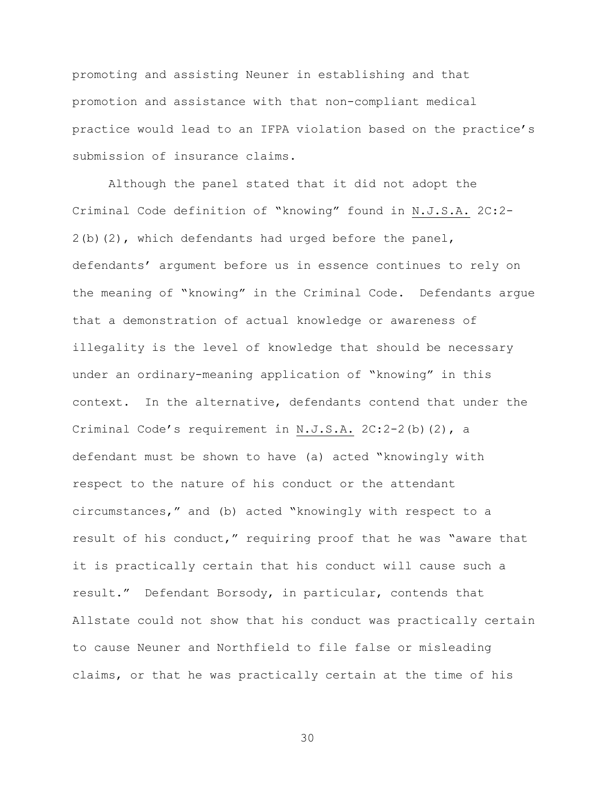promoting and assisting Neuner in establishing and that promotion and assistance with that non-compliant medical practice would lead to an IFPA violation based on the practice's submission of insurance claims.

Although the panel stated that it did not adopt the Criminal Code definition of "knowing" found in N.J.S.A. 2C:2-  $2(b)(2)$ , which defendants had urged before the panel, defendants' argument before us in essence continues to rely on the meaning of "knowing" in the Criminal Code. Defendants argue that a demonstration of actual knowledge or awareness of illegality is the level of knowledge that should be necessary under an ordinary-meaning application of "knowing" in this context. In the alternative, defendants contend that under the Criminal Code's requirement in N.J.S.A. 2C:2-2(b)(2), a defendant must be shown to have (a) acted "knowingly with respect to the nature of his conduct or the attendant circumstances," and (b) acted "knowingly with respect to a result of his conduct," requiring proof that he was "aware that it is practically certain that his conduct will cause such a result." Defendant Borsody, in particular, contends that Allstate could not show that his conduct was practically certain to cause Neuner and Northfield to file false or misleading claims, or that he was practically certain at the time of his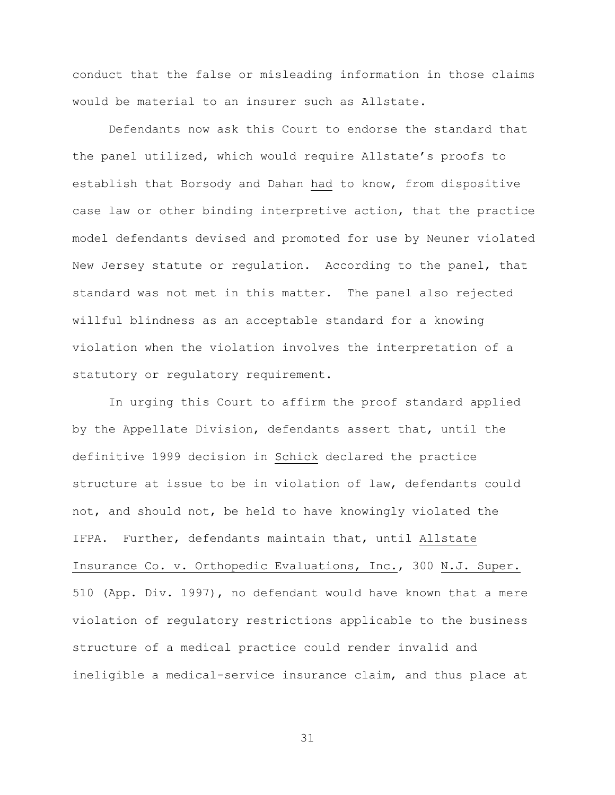conduct that the false or misleading information in those claims would be material to an insurer such as Allstate.

Defendants now ask this Court to endorse the standard that the panel utilized, which would require Allstate's proofs to establish that Borsody and Dahan had to know, from dispositive case law or other binding interpretive action, that the practice model defendants devised and promoted for use by Neuner violated New Jersey statute or regulation. According to the panel, that standard was not met in this matter. The panel also rejected willful blindness as an acceptable standard for a knowing violation when the violation involves the interpretation of a statutory or regulatory requirement.

In urging this Court to affirm the proof standard applied by the Appellate Division, defendants assert that, until the definitive 1999 decision in Schick declared the practice structure at issue to be in violation of law, defendants could not, and should not, be held to have knowingly violated the IFPA. Further, defendants maintain that, until Allstate Insurance Co. v. Orthopedic Evaluations, Inc., 300 N.J. Super. 510 (App. Div. 1997), no defendant would have known that a mere violation of regulatory restrictions applicable to the business structure of a medical practice could render invalid and ineligible a medical-service insurance claim, and thus place at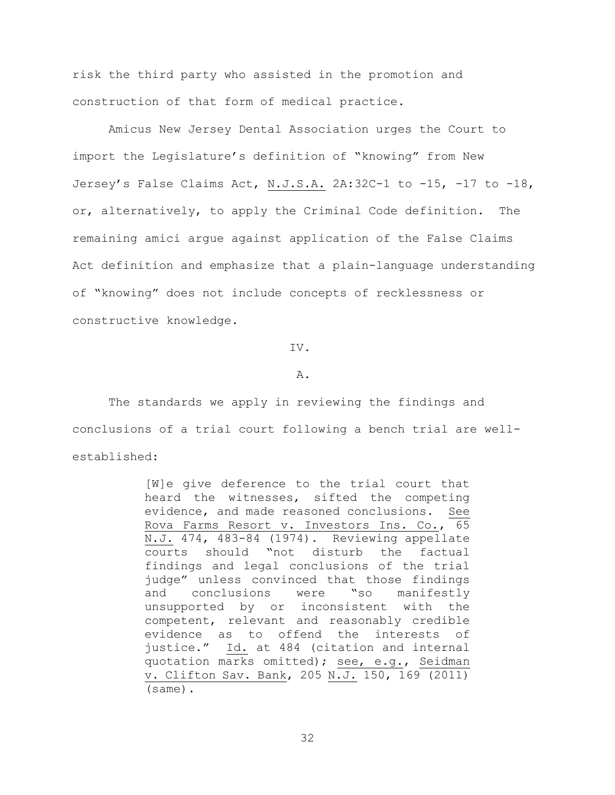risk the third party who assisted in the promotion and construction of that form of medical practice.

Amicus New Jersey Dental Association urges the Court to import the Legislature's definition of "knowing" from New Jersey's False Claims Act, N.J.S.A. 2A:32C-1 to -15, -17 to -18, or, alternatively, to apply the Criminal Code definition. The remaining amici argue against application of the False Claims Act definition and emphasize that a plain-language understanding of "knowing" does not include concepts of recklessness or constructive knowledge.

IV.

# A.

The standards we apply in reviewing the findings and conclusions of a trial court following a bench trial are wellestablished:

> [W]e give deference to the trial court that heard the witnesses, sifted the competing evidence, and made reasoned conclusions. See Rova Farms Resort v. Investors Ins. Co., 65 N.J. 474, 483-84 (1974). Reviewing appellate courts should "not disturb the factual findings and legal conclusions of the trial judge" unless convinced that those findings and conclusions were "so manifestly unsupported by or inconsistent with the competent, relevant and reasonably credible evidence as to offend the interests of justice." Id. at 484 (citation and internal quotation marks omitted); see, e.g., Seidman v. Clifton Sav. Bank, 205 N.J. 150, 169 (2011) (same).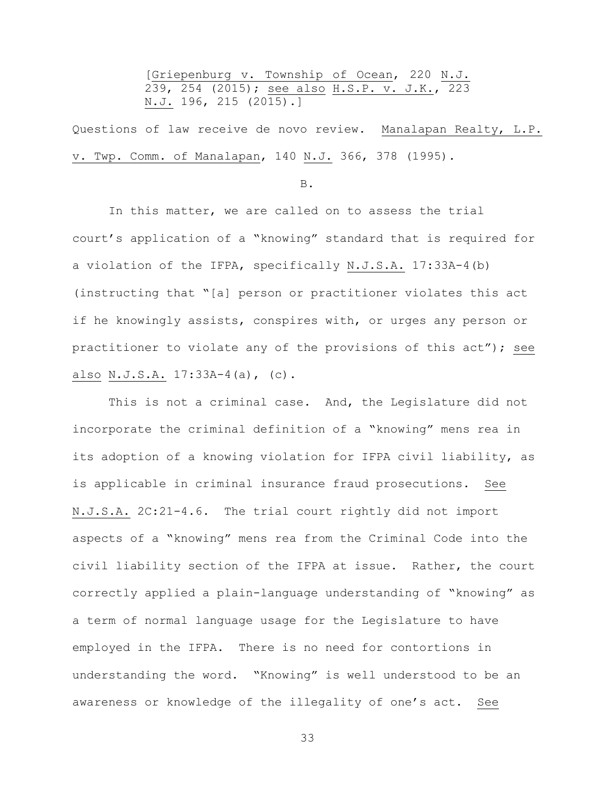[Griepenburg v. Township of Ocean, 220 N.J. 239, 254 (2015); see also H.S.P. v. J.K., 223 N.J. 196, 215 (2015).]

Questions of law receive de novo review. Manalapan Realty, L.P. v. Twp. Comm. of Manalapan, 140 N.J. 366, 378 (1995).

B.

In this matter, we are called on to assess the trial court's application of a "knowing" standard that is required for a violation of the IFPA, specifically N.J.S.A. 17:33A-4(b) (instructing that "[a] person or practitioner violates this act if he knowingly assists, conspires with, or urges any person or practitioner to violate any of the provisions of this act"); see also N.J.S.A. 17:33A-4(a), (c).

This is not a criminal case. And, the Legislature did not incorporate the criminal definition of a "knowing" mens rea in its adoption of a knowing violation for IFPA civil liability, as is applicable in criminal insurance fraud prosecutions. See N.J.S.A. 2C:21-4.6. The trial court rightly did not import aspects of a "knowing" mens rea from the Criminal Code into the civil liability section of the IFPA at issue. Rather, the court correctly applied a plain-language understanding of "knowing" as a term of normal language usage for the Legislature to have employed in the IFPA. There is no need for contortions in understanding the word. "Knowing" is well understood to be an awareness or knowledge of the illegality of one's act. See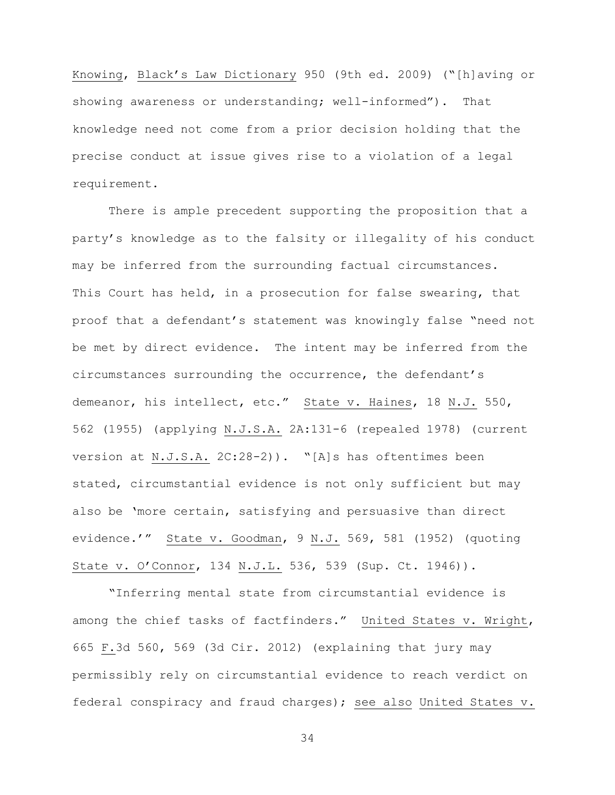Knowing, Black's Law Dictionary 950 (9th ed. 2009) ("[h]aving or showing awareness or understanding; well-informed"). That knowledge need not come from a prior decision holding that the precise conduct at issue gives rise to a violation of a legal requirement.

There is ample precedent supporting the proposition that a party's knowledge as to the falsity or illegality of his conduct may be inferred from the surrounding factual circumstances. This Court has held, in a prosecution for false swearing, that proof that a defendant's statement was knowingly false "need not be met by direct evidence. The intent may be inferred from the circumstances surrounding the occurrence, the defendant's demeanor, his intellect, etc." State v. Haines, 18 N.J. 550, 562 (1955) (applying N.J.S.A. 2A:131-6 (repealed 1978) (current version at N.J.S.A. 2C:28-2)). "[A]s has oftentimes been stated, circumstantial evidence is not only sufficient but may also be 'more certain, satisfying and persuasive than direct evidence.'" State v. Goodman, 9 N.J. 569, 581 (1952) (quoting State v. O'Connor, 134 N.J.L. 536, 539 (Sup. Ct. 1946)).

"Inferring mental state from circumstantial evidence is among the chief tasks of factfinders." United States v. Wright, 665 F.3d 560, 569 (3d Cir. 2012) (explaining that jury may permissibly rely on circumstantial evidence to reach verdict on federal conspiracy and fraud charges); see also United States v.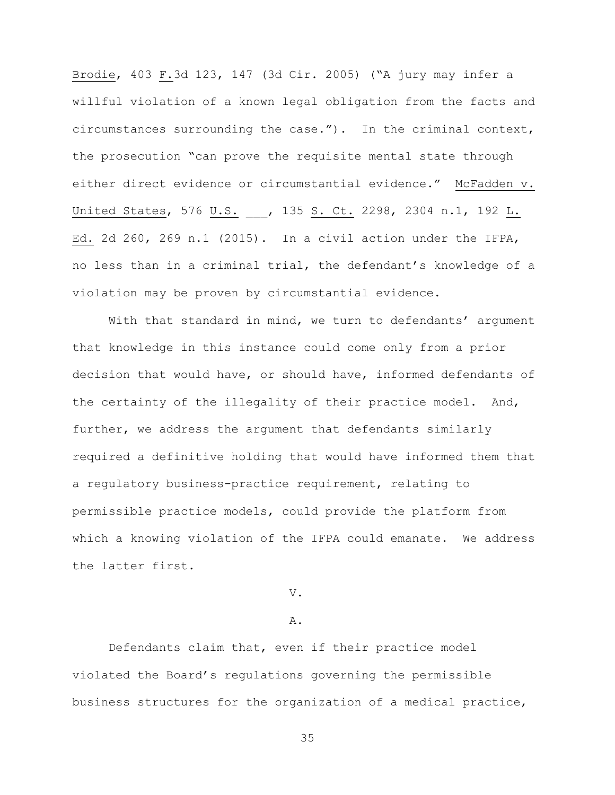Brodie, 403 F.3d 123, 147 (3d Cir. 2005) ("A jury may infer a willful violation of a known legal obligation from the facts and circumstances surrounding the case."). In the criminal context, the prosecution "can prove the requisite mental state through either direct evidence or circumstantial evidence." McFadden v. United States, 576 U.S. , 135 S. Ct. 2298, 2304 n.1, 192 L. Ed. 2d 260, 269 n.1 (2015). In a civil action under the IFPA, no less than in a criminal trial, the defendant's knowledge of a violation may be proven by circumstantial evidence.

With that standard in mind, we turn to defendants' argument that knowledge in this instance could come only from a prior decision that would have, or should have, informed defendants of the certainty of the illegality of their practice model. And, further, we address the argument that defendants similarly required a definitive holding that would have informed them that a regulatory business-practice requirement, relating to permissible practice models, could provide the platform from which a knowing violation of the IFPA could emanate. We address the latter first.

V.

## A.

Defendants claim that, even if their practice model violated the Board's regulations governing the permissible business structures for the organization of a medical practice,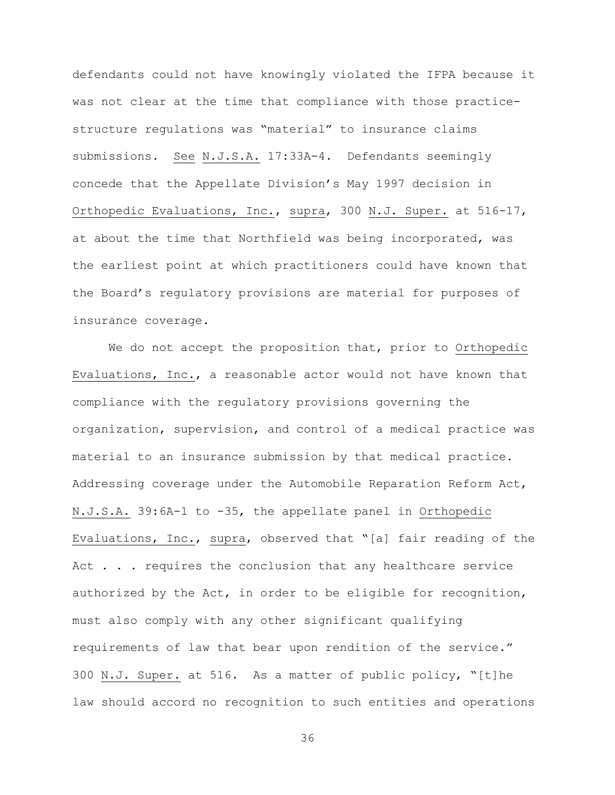defendants could not have knowingly violated the IFPA because it was not clear at the time that compliance with those practicestructure regulations was "material" to insurance claims submissions. See N.J.S.A. 17:33A-4. Defendants seemingly concede that the Appellate Division's May 1997 decision in Orthopedic Evaluations, Inc., supra, 300 N.J. Super. at 516-17, at about the time that Northfield was being incorporated, was the earliest point at which practitioners could have known that the Board's regulatory provisions are material for purposes of insurance coverage.

We do not accept the proposition that, prior to Orthopedic Evaluations, Inc., a reasonable actor would not have known that compliance with the regulatory provisions governing the organization, supervision, and control of a medical practice was material to an insurance submission by that medical practice. Addressing coverage under the Automobile Reparation Reform Act, N.J.S.A. 39:6A-1 to -35, the appellate panel in Orthopedic Evaluations, Inc., supra, observed that "[a] fair reading of the Act . . . requires the conclusion that any healthcare service authorized by the Act, in order to be eligible for recognition, must also comply with any other significant qualifying requirements of law that bear upon rendition of the service." 300 N.J. Super. at 516. As a matter of public policy, "[t]he law should accord no recognition to such entities and operations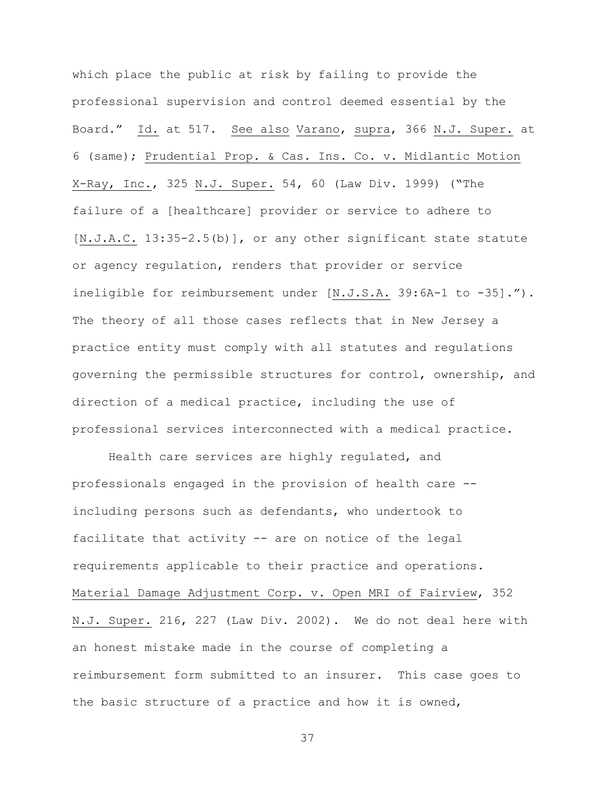which place the public at risk by failing to provide the professional supervision and control deemed essential by the Board." Id. at 517. See also Varano, supra, 366 N.J. Super. at 6 (same); Prudential Prop. & Cas. Ins. Co. v. Midlantic Motion X-Ray, Inc., 325 N.J. Super. 54, 60 (Law Div. 1999) ("The failure of a [healthcare] provider or service to adhere to [N.J.A.C. 13:35-2.5(b)], or any other significant state statute or agency regulation, renders that provider or service ineligible for reimbursement under [N.J.S.A. 39:6A-1 to -35]."). The theory of all those cases reflects that in New Jersey a practice entity must comply with all statutes and regulations governing the permissible structures for control, ownership, and direction of a medical practice, including the use of professional services interconnected with a medical practice.

Health care services are highly regulated, and professionals engaged in the provision of health care - including persons such as defendants, who undertook to facilitate that activity -- are on notice of the legal requirements applicable to their practice and operations. Material Damage Adjustment Corp. v. Open MRI of Fairview, 352 N.J. Super. 216, 227 (Law Div. 2002). We do not deal here with an honest mistake made in the course of completing a reimbursement form submitted to an insurer. This case goes to the basic structure of a practice and how it is owned,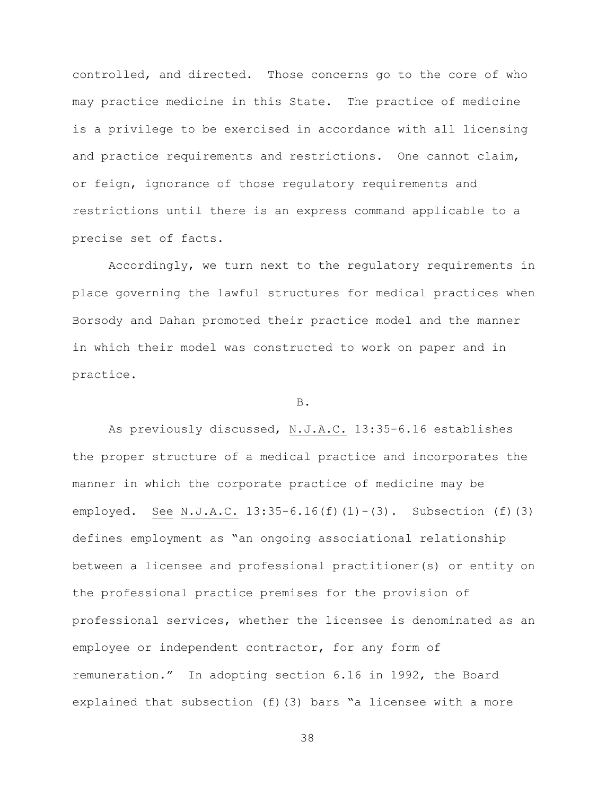controlled, and directed. Those concerns go to the core of who may practice medicine in this State. The practice of medicine is a privilege to be exercised in accordance with all licensing and practice requirements and restrictions. One cannot claim, or feign, ignorance of those regulatory requirements and restrictions until there is an express command applicable to a precise set of facts.

Accordingly, we turn next to the regulatory requirements in place governing the lawful structures for medical practices when Borsody and Dahan promoted their practice model and the manner in which their model was constructed to work on paper and in practice.

B.

As previously discussed, N.J.A.C. 13:35-6.16 establishes the proper structure of a medical practice and incorporates the manner in which the corporate practice of medicine may be employed. See N.J.A.C.  $13:35-6.16(f)(1)-(3)$ . Subsection (f)(3) defines employment as "an ongoing associational relationship between a licensee and professional practitioner(s) or entity on the professional practice premises for the provision of professional services, whether the licensee is denominated as an employee or independent contractor, for any form of remuneration." In adopting section 6.16 in 1992, the Board explained that subsection (f)(3) bars "a licensee with a more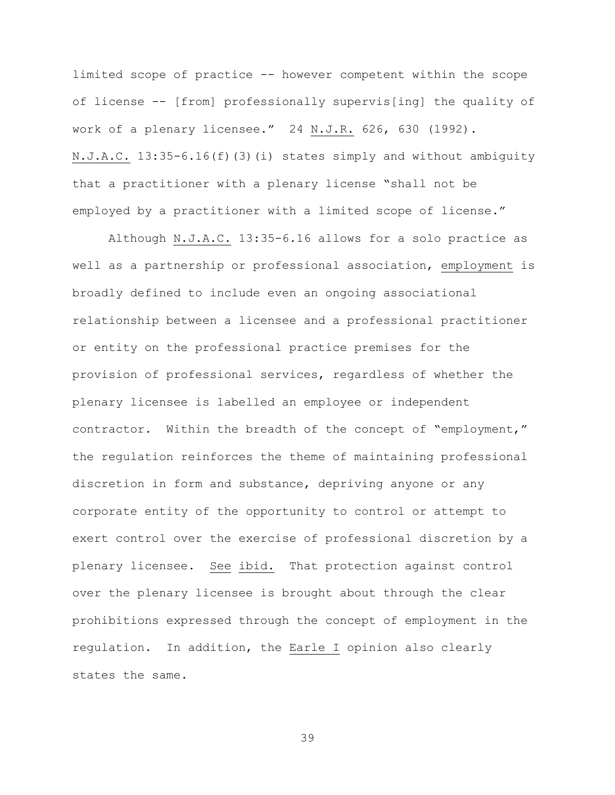limited scope of practice -- however competent within the scope of license -- [from] professionally supervis[ing] the quality of work of a plenary licensee." 24 N.J.R. 626, 630 (1992). N.J.A.C. 13:35-6.16(f)(3)(i) states simply and without ambiguity that a practitioner with a plenary license "shall not be employed by a practitioner with a limited scope of license."

Although N.J.A.C. 13:35-6.16 allows for a solo practice as well as a partnership or professional association, employment is broadly defined to include even an ongoing associational relationship between a licensee and a professional practitioner or entity on the professional practice premises for the provision of professional services, regardless of whether the plenary licensee is labelled an employee or independent contractor. Within the breadth of the concept of "employment," the regulation reinforces the theme of maintaining professional discretion in form and substance, depriving anyone or any corporate entity of the opportunity to control or attempt to exert control over the exercise of professional discretion by a plenary licensee. See ibid. That protection against control over the plenary licensee is brought about through the clear prohibitions expressed through the concept of employment in the regulation. In addition, the Earle I opinion also clearly states the same.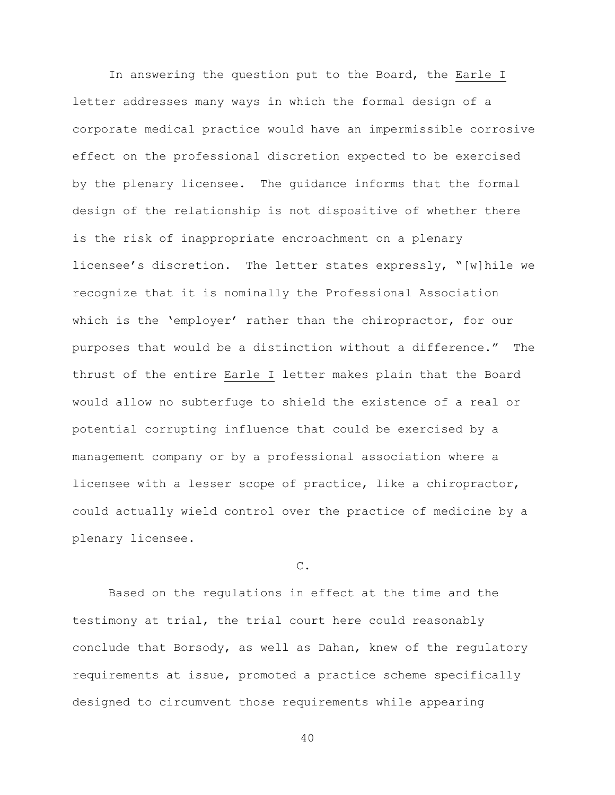In answering the question put to the Board, the Earle I letter addresses many ways in which the formal design of a corporate medical practice would have an impermissible corrosive effect on the professional discretion expected to be exercised by the plenary licensee. The guidance informs that the formal design of the relationship is not dispositive of whether there is the risk of inappropriate encroachment on a plenary licensee's discretion. The letter states expressly, "[w]hile we recognize that it is nominally the Professional Association which is the 'employer' rather than the chiropractor, for our purposes that would be a distinction without a difference." The thrust of the entire Earle I letter makes plain that the Board would allow no subterfuge to shield the existence of a real or potential corrupting influence that could be exercised by a management company or by a professional association where a licensee with a lesser scope of practice, like a chiropractor, could actually wield control over the practice of medicine by a plenary licensee.

# $\mathcal{C}$ .

Based on the regulations in effect at the time and the testimony at trial, the trial court here could reasonably conclude that Borsody, as well as Dahan, knew of the regulatory requirements at issue, promoted a practice scheme specifically designed to circumvent those requirements while appearing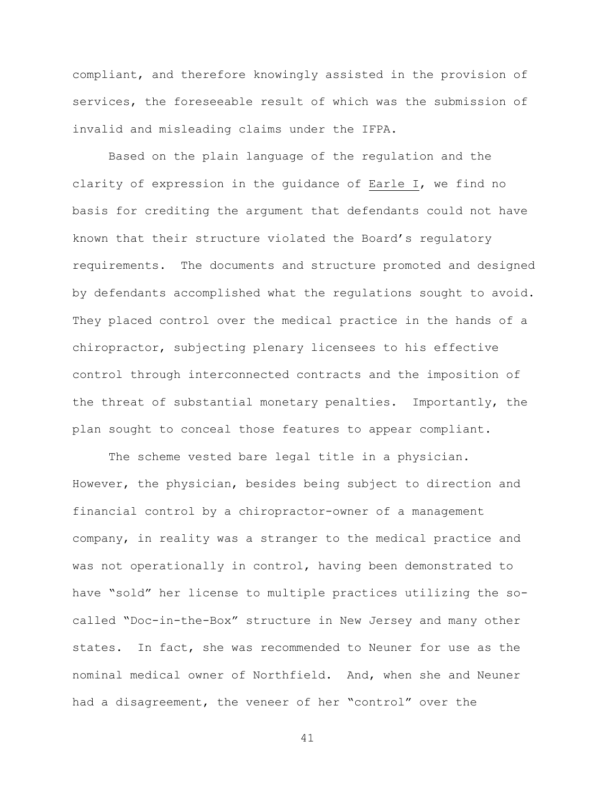compliant, and therefore knowingly assisted in the provision of services, the foreseeable result of which was the submission of invalid and misleading claims under the IFPA.

Based on the plain language of the regulation and the clarity of expression in the guidance of Earle I, we find no basis for crediting the argument that defendants could not have known that their structure violated the Board's regulatory requirements. The documents and structure promoted and designed by defendants accomplished what the regulations sought to avoid. They placed control over the medical practice in the hands of a chiropractor, subjecting plenary licensees to his effective control through interconnected contracts and the imposition of the threat of substantial monetary penalties. Importantly, the plan sought to conceal those features to appear compliant.

The scheme vested bare legal title in a physician. However, the physician, besides being subject to direction and financial control by a chiropractor-owner of a management company, in reality was a stranger to the medical practice and was not operationally in control, having been demonstrated to have "sold" her license to multiple practices utilizing the socalled "Doc-in-the-Box" structure in New Jersey and many other states. In fact, she was recommended to Neuner for use as the nominal medical owner of Northfield. And, when she and Neuner had a disagreement, the veneer of her "control" over the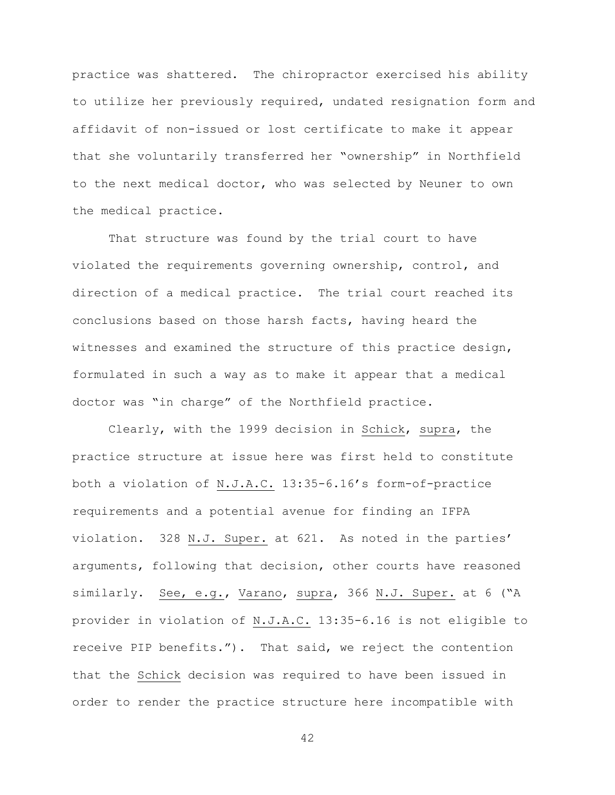practice was shattered. The chiropractor exercised his ability to utilize her previously required, undated resignation form and affidavit of non-issued or lost certificate to make it appear that she voluntarily transferred her "ownership" in Northfield to the next medical doctor, who was selected by Neuner to own the medical practice.

That structure was found by the trial court to have violated the requirements governing ownership, control, and direction of a medical practice. The trial court reached its conclusions based on those harsh facts, having heard the witnesses and examined the structure of this practice design, formulated in such a way as to make it appear that a medical doctor was "in charge" of the Northfield practice.

Clearly, with the 1999 decision in Schick, supra, the practice structure at issue here was first held to constitute both a violation of N.J.A.C. 13:35-6.16's form-of-practice requirements and a potential avenue for finding an IFPA violation. 328 N.J. Super. at 621. As noted in the parties' arguments, following that decision, other courts have reasoned similarly. See, e.g., Varano, supra, 366 N.J. Super. at 6 ("A provider in violation of N.J.A.C. 13:35-6.16 is not eligible to receive PIP benefits."). That said, we reject the contention that the Schick decision was required to have been issued in order to render the practice structure here incompatible with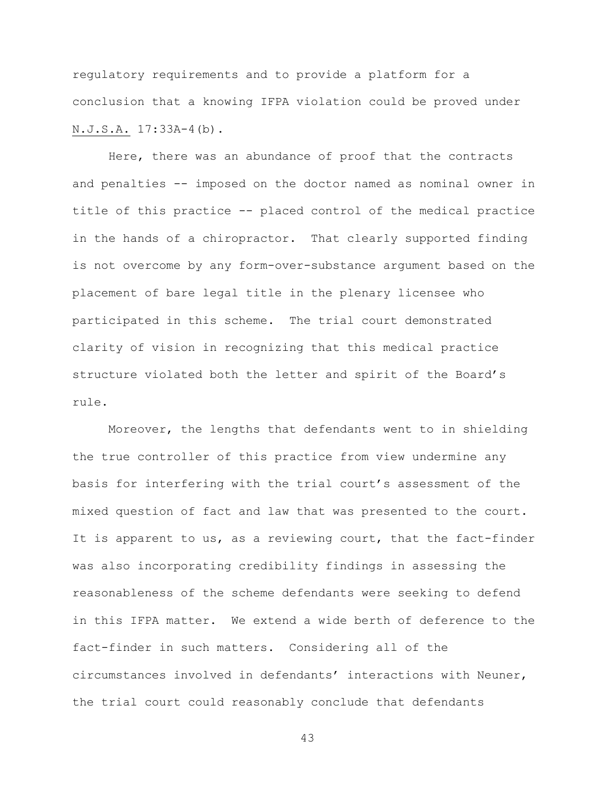regulatory requirements and to provide a platform for a conclusion that a knowing IFPA violation could be proved under N.J.S.A. 17:33A-4(b).

Here, there was an abundance of proof that the contracts and penalties -- imposed on the doctor named as nominal owner in title of this practice -- placed control of the medical practice in the hands of a chiropractor. That clearly supported finding is not overcome by any form-over-substance argument based on the placement of bare legal title in the plenary licensee who participated in this scheme. The trial court demonstrated clarity of vision in recognizing that this medical practice structure violated both the letter and spirit of the Board's rule.

Moreover, the lengths that defendants went to in shielding the true controller of this practice from view undermine any basis for interfering with the trial court's assessment of the mixed question of fact and law that was presented to the court. It is apparent to us, as a reviewing court, that the fact-finder was also incorporating credibility findings in assessing the reasonableness of the scheme defendants were seeking to defend in this IFPA matter. We extend a wide berth of deference to the fact-finder in such matters. Considering all of the circumstances involved in defendants' interactions with Neuner, the trial court could reasonably conclude that defendants